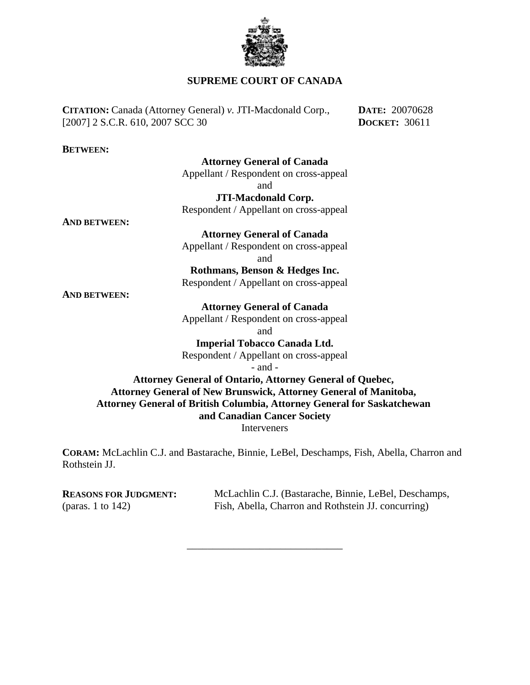

# **SUPREME COURT OF CANADA**

**CITATION:** Canada (Attorney General) *v.* JTI-Macdonald Corp., [2007] 2 S.C.R. 610, 2007 SCC 30

**DATE:** 20070628 **DOCKET:** 30611

# **BETWEEN:**

# **Attorney General of Canada**

Appellant / Respondent on cross-appeal and

**JTI-Macdonald Corp.**

Respondent / Appellant on cross-appeal

**AND BETWEEN:**

**Attorney General of Canada** Appellant / Respondent on cross-appeal

and

# **Rothmans, Benson & Hedges Inc.**

Respondent / Appellant on cross-appeal

**AND BETWEEN:**

# **Attorney General of Canada**

Appellant / Respondent on cross-appeal and

**Imperial Tobacco Canada Ltd.**

Respondent / Appellant on cross-appeal

- and -

# **Attorney General of Ontario, Attorney General of Quebec, Attorney General of New Brunswick, Attorney General of Manitoba, Attorney General of British Columbia, Attorney General for Saskatchewan and Canadian Cancer Society** Interveners

**CORAM:** McLachlin C.J. and Bastarache, Binnie, LeBel, Deschamps, Fish, Abella, Charron and Rothstein JJ.

\_\_\_\_\_\_\_\_\_\_\_\_\_\_\_\_\_\_\_\_\_\_\_\_\_\_\_\_\_\_

**REASONS FOR JUDGMENT:** (paras. 1 to 142)

McLachlin C.J. (Bastarache, Binnie, LeBel, Deschamps, Fish, Abella, Charron and Rothstein JJ. concurring)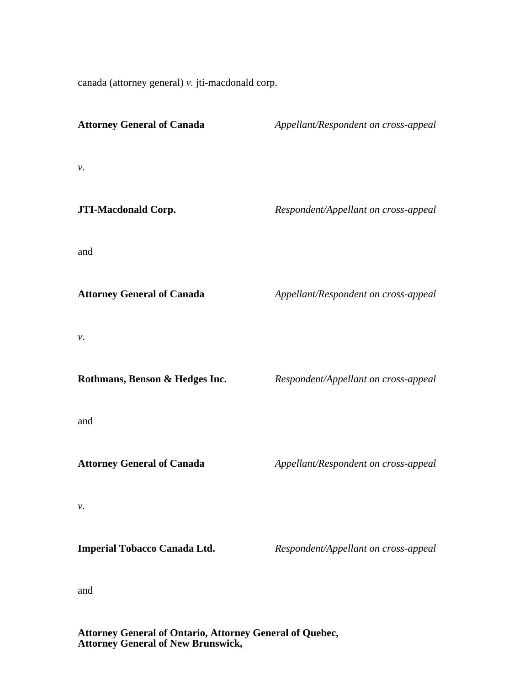canada (attorney general) *v.* jti-macdonald corp.

| Appellant/Respondent on cross-appeal |
|--------------------------------------|
|                                      |
| Respondent/Appellant on cross-appeal |
|                                      |
| Appellant/Respondent on cross-appeal |
|                                      |
| Respondent/Appellant on cross-appeal |
|                                      |
| Appellant/Respondent on cross-appeal |
|                                      |
| Respondent/Appellant on cross-appeal |
|                                      |

and

**Attorney General of Ontario, Attorney General of Quebec, Attorney General of New Brunswick,**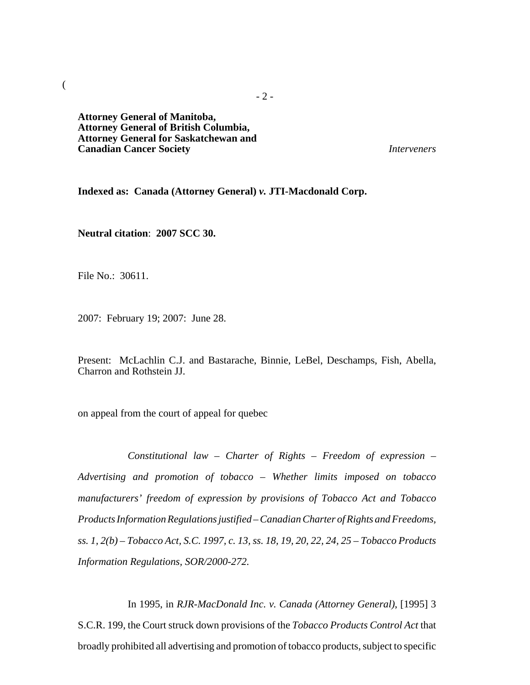**Attorney General of Manitoba, Attorney General of British Columbia, Attorney General for Saskatchewan and Canadian Cancer Society** *Interveners*

**Indexed as: Canada (Attorney General)** *v.* **JTI-Macdonald Corp.**

**Neutral citation**: **2007 SCC 30.**

File No.: 30611.

(

2007: February 19; 2007: June 28.

Present: McLachlin C.J. and Bastarache, Binnie, LeBel, Deschamps, Fish, Abella, Charron and Rothstein JJ.

on appeal from the court of appeal for quebec

*Constitutional law – Charter of Rights – Freedom of expression – Advertising and promotion of tobacco – Whether limits imposed on tobacco manufacturers' freedom of expression by provisions of Tobacco Act and Tobacco Products Information Regulations justified – Canadian Charter of Rights and Freedoms, ss. 1, 2(b) – Tobacco Act, S.C. 1997, c. 13, ss. 18, 19, 20, 22, 24, 25 – Tobacco Products Information Regulations, SOR/2000-272.*

In 1995, in *RJR-MacDonald Inc. v. Canada (Attorney General)*, [1995] 3 S.C.R. 199, the Court struck down provisions of the *Tobacco Products Control Act* that broadly prohibited all advertising and promotion of tobacco products, subject to specific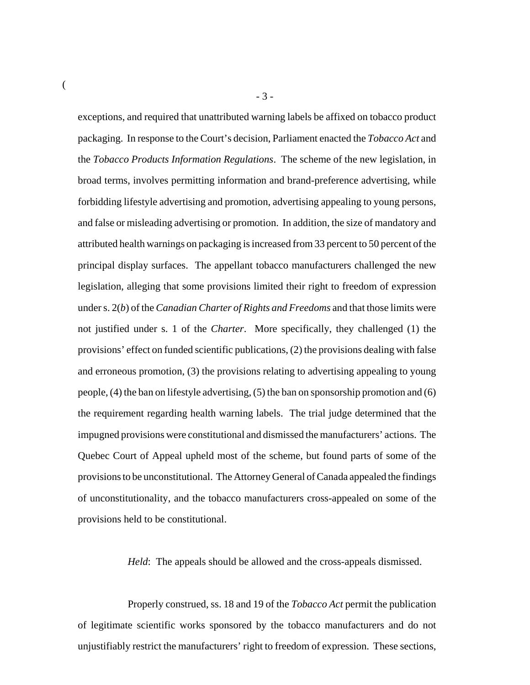exceptions, and required that unattributed warning labels be affixed on tobacco product packaging. In response to the Court's decision, Parliament enacted the *Tobacco Act* and the *Tobacco Products Information Regulations*. The scheme of the new legislation, in broad terms, involves permitting information and brand-preference advertising, while forbidding lifestyle advertising and promotion, advertising appealing to young persons, and false or misleading advertising or promotion. In addition, the size of mandatory and attributed health warnings on packaging is increased from 33 percent to 50 percent of the principal display surfaces. The appellant tobacco manufacturers challenged the new legislation, alleging that some provisions limited their right to freedom of expression under s. 2(*b*) of the *Canadian Charter of Rights and Freedoms* and that those limits were not justified under s. 1 of the *Charter*. More specifically, they challenged (1) the provisions' effect on funded scientific publications, (2) the provisions dealing with false and erroneous promotion, (3) the provisions relating to advertising appealing to young people, (4) the ban on lifestyle advertising, (5) the ban on sponsorship promotion and (6) the requirement regarding health warning labels. The trial judge determined that the impugned provisions were constitutional and dismissed the manufacturers' actions. The Quebec Court of Appeal upheld most of the scheme, but found parts of some of the provisions to be unconstitutional. The Attorney General of Canada appealed the findings of unconstitutionality, and the tobacco manufacturers cross-appealed on some of the provisions held to be constitutional.

*Held*: The appeals should be allowed and the cross-appeals dismissed.

Properly construed, ss. 18 and 19 of the *Tobacco Act* permit the publication of legitimate scientific works sponsored by the tobacco manufacturers and do not unjustifiably restrict the manufacturers' right to freedom of expression. These sections,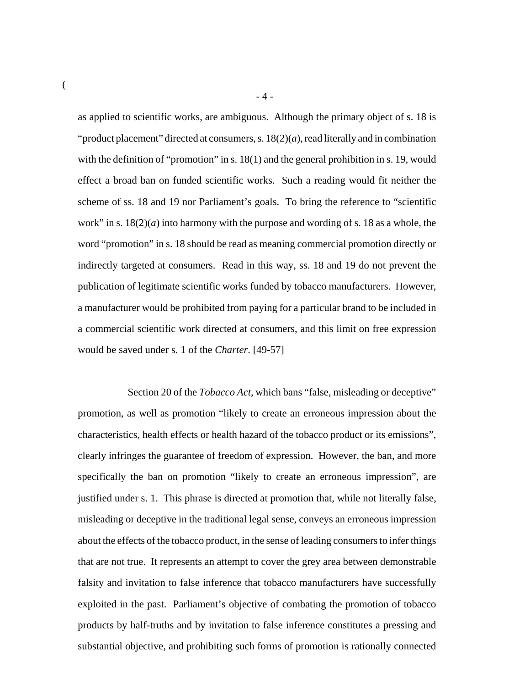as applied to scientific works, are ambiguous. Although the primary object of s. 18 is "product placement" directed at consumers, s. 18(2)(*a*), read literally and in combination with the definition of "promotion" in s.  $18(1)$  and the general prohibition in s. 19, would effect a broad ban on funded scientific works. Such a reading would fit neither the scheme of ss. 18 and 19 nor Parliament's goals. To bring the reference to "scientific work" in s.  $18(2)(a)$  into harmony with the purpose and wording of s. 18 as a whole, the word "promotion" in s. 18 should be read as meaning commercial promotion directly or indirectly targeted at consumers. Read in this way, ss. 18 and 19 do not prevent the publication of legitimate scientific works funded by tobacco manufacturers. However, a manufacturer would be prohibited from paying for a particular brand to be included in a commercial scientific work directed at consumers, and this limit on free expression would be saved under s. 1 of the *Charter*. [49-57]

Section 20 of the *Tobacco Act*, which bans "false, misleading or deceptive" promotion, as well as promotion "likely to create an erroneous impression about the characteristics, health effects or health hazard of the tobacco product or its emissions", clearly infringes the guarantee of freedom of expression. However, the ban, and more specifically the ban on promotion "likely to create an erroneous impression", are justified under s. 1. This phrase is directed at promotion that, while not literally false, misleading or deceptive in the traditional legal sense, conveys an erroneous impression about the effects of the tobacco product, in the sense of leading consumers to infer things that are not true. It represents an attempt to cover the grey area between demonstrable falsity and invitation to false inference that tobacco manufacturers have successfully exploited in the past. Parliament's objective of combating the promotion of tobacco products by half-truths and by invitation to false inference constitutes a pressing and substantial objective, and prohibiting such forms of promotion is rationally connected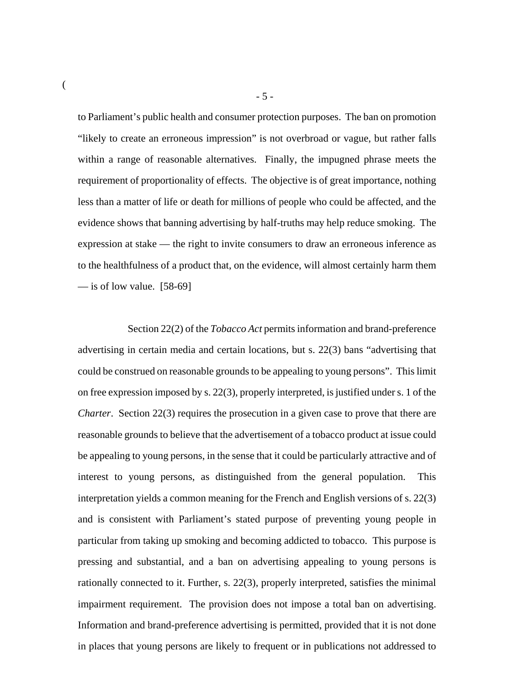to Parliament's public health and consumer protection purposes. The ban on promotion "likely to create an erroneous impression" is not overbroad or vague, but rather falls within a range of reasonable alternatives. Finally, the impugned phrase meets the requirement of proportionality of effects. The objective is of great importance, nothing less than a matter of life or death for millions of people who could be affected, and the evidence shows that banning advertising by half-truths may help reduce smoking. The expression at stake — the right to invite consumers to draw an erroneous inference as to the healthfulness of a product that, on the evidence, will almost certainly harm them — is of low value.  $[58-69]$ 

Section 22(2) of the *Tobacco Act* permits information and brand-preference advertising in certain media and certain locations, but s. 22(3) bans "advertising that could be construed on reasonable grounds to be appealing to young persons". This limit on free expression imposed by s. 22(3), properly interpreted, is justified under s. 1 of the *Charter.* Section 22(3) requires the prosecution in a given case to prove that there are reasonable grounds to believe that the advertisement of a tobacco product at issue could be appealing to young persons, in the sense that it could be particularly attractive and of interest to young persons, as distinguished from the general population. This interpretation yields a common meaning for the French and English versions of s. 22(3) and is consistent with Parliament's stated purpose of preventing young people in particular from taking up smoking and becoming addicted to tobacco. This purpose is pressing and substantial, and a ban on advertising appealing to young persons is rationally connected to it. Further, s. 22(3), properly interpreted, satisfies the minimal impairment requirement. The provision does not impose a total ban on advertising. Information and brand-preference advertising is permitted, provided that it is not done in places that young persons are likely to frequent or in publications not addressed to

(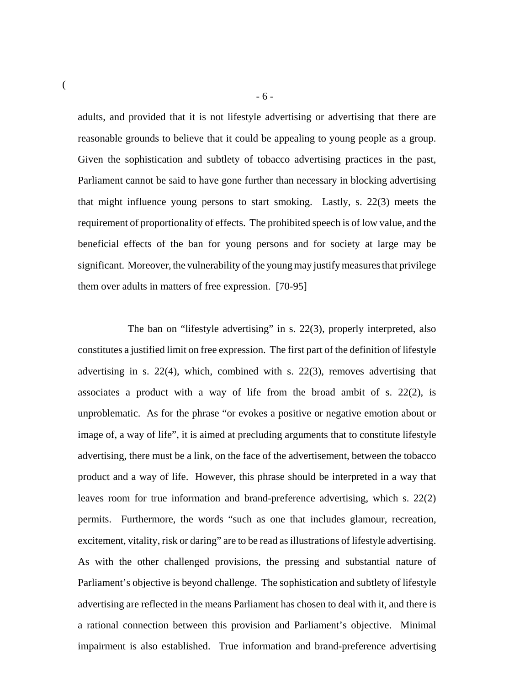adults, and provided that it is not lifestyle advertising or advertising that there are reasonable grounds to believe that it could be appealing to young people as a group. Given the sophistication and subtlety of tobacco advertising practices in the past, Parliament cannot be said to have gone further than necessary in blocking advertising that might influence young persons to start smoking. Lastly, s. 22(3) meets the requirement of proportionality of effects. The prohibited speech is of low value, and the beneficial effects of the ban for young persons and for society at large may be significant. Moreover, the vulnerability of the young may justify measures that privilege them over adults in matters of free expression. [70-95]

The ban on "lifestyle advertising" in s. 22(3), properly interpreted, also constitutes a justified limit on free expression. The first part of the definition of lifestyle advertising in s. 22(4), which, combined with s. 22(3), removes advertising that associates a product with a way of life from the broad ambit of s. 22(2), is unproblematic. As for the phrase "or evokes a positive or negative emotion about or image of, a way of life", it is aimed at precluding arguments that to constitute lifestyle advertising, there must be a link, on the face of the advertisement, between the tobacco product and a way of life. However, this phrase should be interpreted in a way that leaves room for true information and brand-preference advertising, which s. 22(2) permits. Furthermore, the words "such as one that includes glamour, recreation, excitement, vitality, risk or daring" are to be read as illustrations of lifestyle advertising. As with the other challenged provisions, the pressing and substantial nature of Parliament's objective is beyond challenge. The sophistication and subtlety of lifestyle advertising are reflected in the means Parliament has chosen to deal with it, and there is a rational connection between this provision and Parliament's objective. Minimal impairment is also established. True information and brand-preference advertising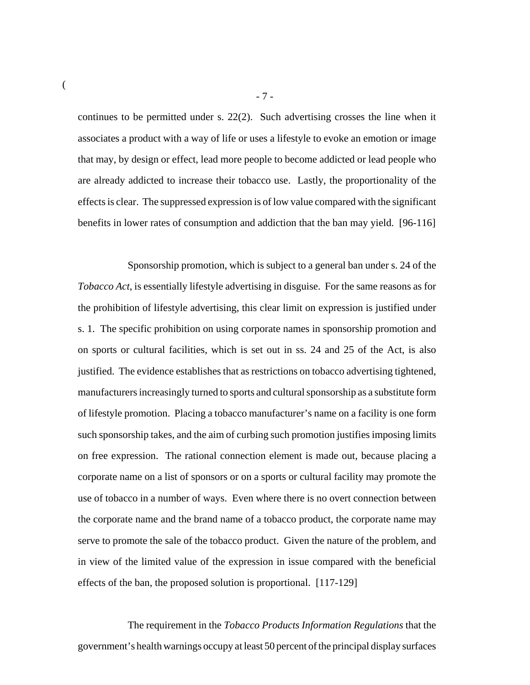continues to be permitted under s. 22(2). Such advertising crosses the line when it associates a product with a way of life or uses a lifestyle to evoke an emotion or image that may, by design or effect, lead more people to become addicted or lead people who are already addicted to increase their tobacco use. Lastly, the proportionality of the effects is clear. The suppressed expression is of low value compared with the significant benefits in lower rates of consumption and addiction that the ban may yield. [96-116]

Sponsorship promotion, which is subject to a general ban under s. 24 of the *Tobacco Act*, is essentially lifestyle advertising in disguise. For the same reasons as for the prohibition of lifestyle advertising, this clear limit on expression is justified under s. 1. The specific prohibition on using corporate names in sponsorship promotion and on sports or cultural facilities, which is set out in ss. 24 and 25 of the Act, is also justified. The evidence establishes that as restrictions on tobacco advertising tightened, manufacturers increasingly turned to sports and cultural sponsorship as a substitute form of lifestyle promotion. Placing a tobacco manufacturer's name on a facility is one form such sponsorship takes, and the aim of curbing such promotion justifies imposing limits on free expression. The rational connection element is made out, because placing a corporate name on a list of sponsors or on a sports or cultural facility may promote the use of tobacco in a number of ways. Even where there is no overt connection between the corporate name and the brand name of a tobacco product, the corporate name may serve to promote the sale of the tobacco product. Given the nature of the problem, and in view of the limited value of the expression in issue compared with the beneficial effects of the ban, the proposed solution is proportional. [117-129]

The requirement in the *Tobacco Products Information Regulations* that the government's health warnings occupy at least 50 percent of the principal display surfaces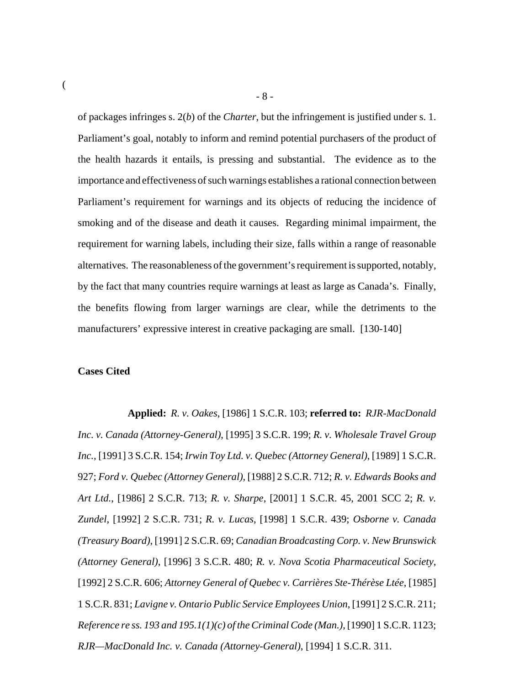of packages infringes s. 2(*b*) of the *Charter*, but the infringement is justified under s. 1. Parliament's goal, notably to inform and remind potential purchasers of the product of the health hazards it entails, is pressing and substantial. The evidence as to the importance and effectiveness of such warnings establishes a rational connection between Parliament's requirement for warnings and its objects of reducing the incidence of smoking and of the disease and death it causes. Regarding minimal impairment, the requirement for warning labels, including their size, falls within a range of reasonable alternatives. The reasonableness of the government's requirement is supported, notably, by the fact that many countries require warnings at least as large as Canada's. Finally, the benefits flowing from larger warnings are clear, while the detriments to the manufacturers' expressive interest in creative packaging are small. [130-140]

# **Cases Cited**

**Applied:** *R. v. Oakes*, [1986] 1 S.C.R. 103; **referred to:** *RJR-MacDonald Inc. v. Canada (Attorney-General)*, [1995] 3 S.C.R. 199; *R. v. Wholesale Travel Group Inc.*, [1991] 3 S.C.R. 154; *Irwin Toy Ltd. v. Quebec (Attorney General)*, [1989] 1 S.C.R. 927; *Ford v. Quebec (Attorney General)*, [1988] 2 S.C.R. 712; *R. v. Edwards Books and Art Ltd.*, [1986] 2 S.C.R. 713; *R. v. Sharpe*, [2001] 1 S.C.R. 45, 2001 SCC 2; *R. v. Zundel*, [1992] 2 S.C.R. 731; *R. v. Lucas*, [1998] 1 S.C.R. 439; *Osborne v. Canada (Treasury Board)*, [1991] 2 S.C.R. 69; *Canadian Broadcasting Corp. v. New Brunswick (Attorney General)*, [1996] 3 S.C.R. 480; *R. v. Nova Scotia Pharmaceutical Society*, [1992] 2 S.C.R. 606; *Attorney General of Quebec v. Carrières Ste-Thérèse Ltée*, [1985] 1 S.C.R. 831; *Lavigne v. Ontario Public Service Employees Union*, [1991] 2 S.C.R. 211; *Reference re ss. 193 and 195.1(1)(c) of the Criminal Code (Man.)*, [1990] 1 S.C.R. 1123; *RJR—MacDonald Inc. v. Canada (Attorney-General)*, [1994] 1 S.C.R. 311.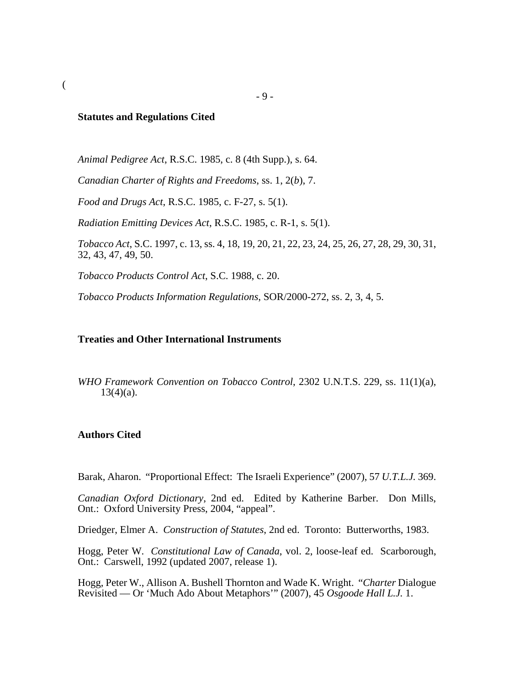#### **Statutes and Regulations Cited**

*Animal Pedigree Act*, R.S.C. 1985, c. 8 (4th Supp.), s. 64.

*Canadian Charter of Rights and Freedoms*, ss. 1, 2(*b*), 7.

*Food and Drugs Act*, R.S.C. 1985, c. F-27, s. 5(1).

*Radiation Emitting Devices Act*, R.S.C. 1985, c. R-1, s. 5(1).

*Tobacco Act*, S.C. 1997, c. 13, ss. 4, 18, 19, 20, 21, 22, 23, 24, 25, 26, 27, 28, 29, 30, 31, 32, 43, 47, 49, 50.

*Tobacco Products Control Act*, S.C. 1988, c. 20.

*Tobacco Products Information Regulations*, SOR/2000-272, ss. 2, 3, 4, 5.

## **Treaties and Other International Instruments**

*WHO Framework Convention on Tobacco Control*, 2302 U.N.T.S. 229, ss. 11(1)(a),  $13(4)(a)$ .

#### **Authors Cited**

Barak, Aharon. "Proportional Effect: The Israeli Experience" (2007), 57 *U.T.L.J.* 369.

*Canadian Oxford Dictionary*, 2nd ed. Edited by Katherine Barber. Don Mills, Ont.: Oxford University Press, 2004, "appeal".

Driedger, Elmer A. *Construction of Statutes*, 2nd ed. Toronto: Butterworths, 1983.

Hogg, Peter W. *Constitutional Law of Canada*, vol. 2, loose-leaf ed. Scarborough, Ont.: Carswell, 1992 (updated 2007, release 1).

Hogg, Peter W., Allison A. Bushell Thornton and Wade K. Wright. "*Charter* Dialogue Revisited — Or 'Much Ado About Metaphors'" (2007), 45 *Osgoode Hall L.J.* 1.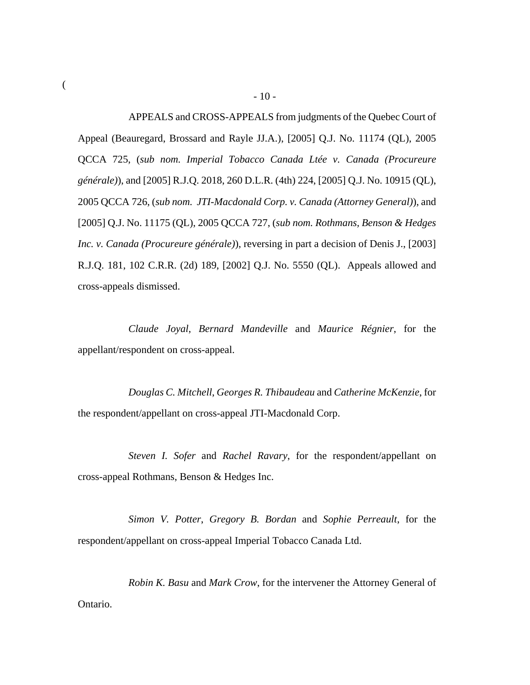APPEALS and CROSS-APPEALS from judgments of the Quebec Court of Appeal (Beauregard, Brossard and Rayle JJ.A.), [2005] Q.J. No. 11174 (QL), 2005 QCCA 725, (*sub nom. Imperial Tobacco Canada Ltée v. Canada (Procureure générale)*), and [2005] R.J.Q. 2018, 260 D.L.R. (4th) 224, [2005] Q.J. No. 10915 (QL), 2005 QCCA 726, (*sub nom. JTI-Macdonald Corp. v. Canada (Attorney General)*), and [2005] Q.J. No. 11175 (QL), 2005 QCCA 727, (*sub nom. Rothmans, Benson & Hedges Inc. v. Canada (Procureure générale)*), reversing in part a decision of Denis J., [2003] R.J.Q. 181, 102 C.R.R. (2d) 189, [2002] Q.J. No. 5550 (QL). Appeals allowed and cross-appeals dismissed.

*Claude Joyal*, *Bernard Mandeville* and *Maurice Régnier*, for the appellant/respondent on cross-appeal.

*Douglas C. Mitchell*, *Georges R. Thibaudeau* and *Catherine McKenzie*, for the respondent/appellant on cross-appeal JTI-Macdonald Corp.

*Steven I. Sofer* and *Rachel Ravary*, for the respondent/appellant on cross-appeal Rothmans, Benson & Hedges Inc.

*Simon V. Potter*, *Gregory B. Bordan* and *Sophie Perreault*, for the respondent/appellant on cross-appeal Imperial Tobacco Canada Ltd.

*Robin K. Basu* and *Mark Crow*, for the intervener the Attorney General of Ontario.

(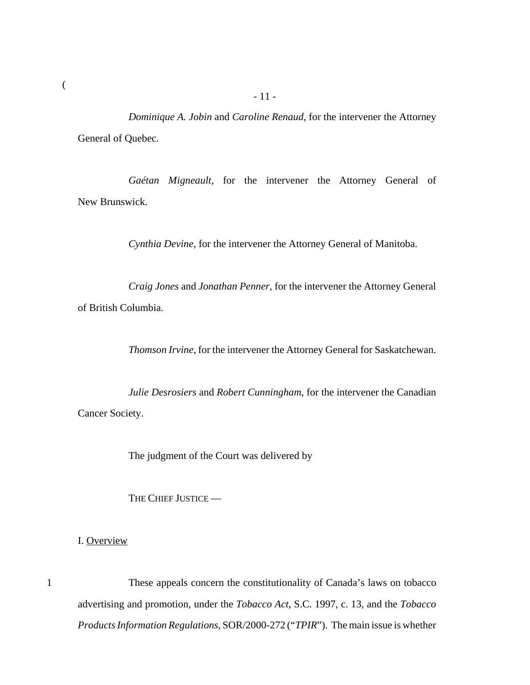*Dominique A. Jobin* and *Caroline Renaud*, for the intervener the Attorney General of Quebec.

- 11 -

*Gaétan Migneault*, for the intervener the Attorney General of New Brunswick.

*Cynthia Devine*, for the intervener the Attorney General of Manitoba.

*Craig Jones* and *Jonathan Penner*, for the intervener the Attorney General of British Columbia.

*Thomson Irvine*, for the intervener the Attorney General for Saskatchewan.

*Julie Desrosiers* and *Robert Cunningham*, for the intervener the Canadian Cancer Society.

The judgment of the Court was delivered by

THE CHIEF JUSTICE —

I. Overview

1 These appeals concern the constitutionality of Canada's laws on tobacco advertising and promotion, under the *Tobacco Act*, S.C. 1997, c. 13, and the *Tobacco Products Information Regulations*, SOR/2000-272 ("*TPIR*"). The main issue is whether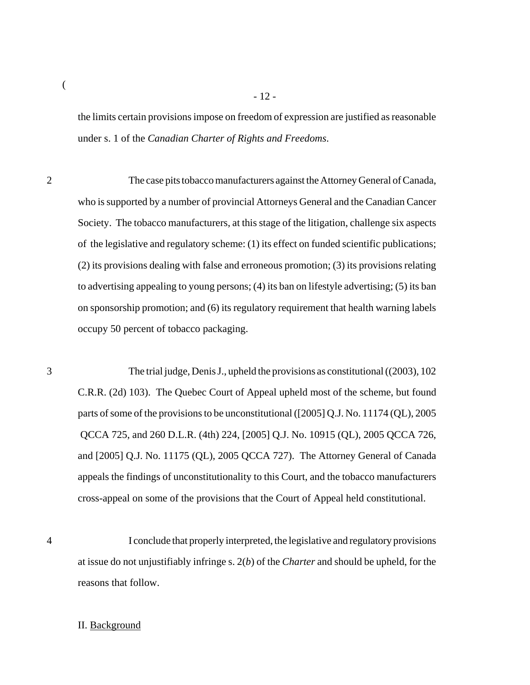the limits certain provisions impose on freedom of expression are justified as reasonable under s. 1 of the *Canadian Charter of Rights and Freedoms*.

- 12 -

2 The case pits tobacco manufacturers against the Attorney General of Canada, who is supported by a number of provincial Attorneys General and the Canadian Cancer Society. The tobacco manufacturers, at this stage of the litigation, challenge six aspects of the legislative and regulatory scheme: (1) its effect on funded scientific publications; (2) its provisions dealing with false and erroneous promotion; (3) its provisions relating to advertising appealing to young persons; (4) its ban on lifestyle advertising; (5) its ban on sponsorship promotion; and (6) its regulatory requirement that health warning labels occupy 50 percent of tobacco packaging.

3 The trial judge, Denis J., upheld the provisions as constitutional ((2003), 102 C.R.R. (2d) 103). The Quebec Court of Appeal upheld most of the scheme, but found parts of some of the provisions to be unconstitutional ([2005] Q.J. No. 11174 (QL), 2005 QCCA 725, and 260 D.L.R. (4th) 224, [2005] Q.J. No. 10915 (QL), 2005 QCCA 726, and [2005] Q.J. No. 11175 (QL), 2005 QCCA 727). The Attorney General of Canada appeals the findings of unconstitutionality to this Court, and the tobacco manufacturers cross-appeal on some of the provisions that the Court of Appeal held constitutional.

4 I conclude that properly interpreted, the legislative and regulatory provisions at issue do not unjustifiably infringe s. 2(*b*) of the *Charter* and should be upheld, for the reasons that follow.

# II. Background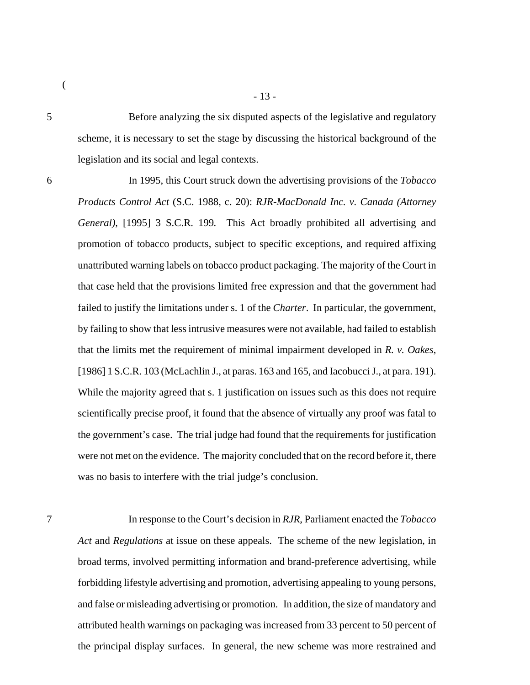5 Before analyzing the six disputed aspects of the legislative and regulatory scheme, it is necessary to set the stage by discussing the historical background of the legislation and its social and legal contexts.

6 In 1995, this Court struck down the advertising provisions of the *Tobacco Products Control Act* (S.C. 1988, c. 20): *RJR-MacDonald Inc. v. Canada (Attorney General)*, [1995] 3 S.C.R. 199*.* This Act broadly prohibited all advertising and promotion of tobacco products, subject to specific exceptions, and required affixing unattributed warning labels on tobacco product packaging. The majority of the Court in that case held that the provisions limited free expression and that the government had failed to justify the limitations under s. 1 of the *Charter*. In particular, the government, by failing to show that less intrusive measures were not available, had failed to establish that the limits met the requirement of minimal impairment developed in *R. v. Oakes*, [1986] 1 S.C.R. 103 (McLachlin J., at paras. 163 and 165, and Iacobucci J., at para. 191). While the majority agreed that s. 1 justification on issues such as this does not require scientifically precise proof, it found that the absence of virtually any proof was fatal to the government's case. The trial judge had found that the requirements for justification were not met on the evidence. The majority concluded that on the record before it, there was no basis to interfere with the trial judge's conclusion.

7 In response to the Court's decision in *RJR*, Parliament enacted the *Tobacco Act* and *Regulations* at issue on these appeals. The scheme of the new legislation, in broad terms, involved permitting information and brand-preference advertising, while forbidding lifestyle advertising and promotion, advertising appealing to young persons, and false or misleading advertising or promotion. In addition, the size of mandatory and attributed health warnings on packaging was increased from 33 percent to 50 percent of the principal display surfaces. In general, the new scheme was more restrained and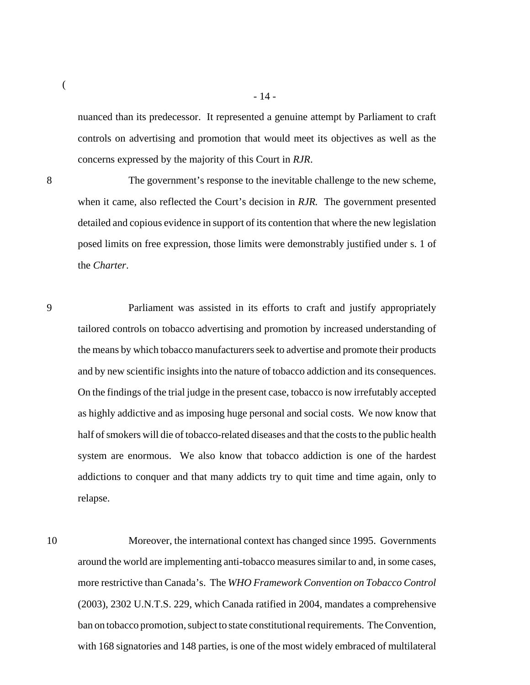nuanced than its predecessor. It represented a genuine attempt by Parliament to craft controls on advertising and promotion that would meet its objectives as well as the concerns expressed by the majority of this Court in *RJR*.

(

8 The government's response to the inevitable challenge to the new scheme, when it came, also reflected the Court's decision in *RJR.* The government presented detailed and copious evidence in support of its contention that where the new legislation posed limits on free expression, those limits were demonstrably justified under s. 1 of the *Charter*.

9 Parliament was assisted in its efforts to craft and justify appropriately tailored controls on tobacco advertising and promotion by increased understanding of the means by which tobacco manufacturers seek to advertise and promote their products and by new scientific insights into the nature of tobacco addiction and its consequences. On the findings of the trial judge in the present case, tobacco is now irrefutably accepted as highly addictive and as imposing huge personal and social costs. We now know that half of smokers will die of tobacco-related diseases and that the costs to the public health system are enormous. We also know that tobacco addiction is one of the hardest addictions to conquer and that many addicts try to quit time and time again, only to relapse.

10 Moreover, the international context has changed since 1995. Governments around the world are implementing anti-tobacco measures similar to and, in some cases, more restrictive than Canada's. The *WHO Framework Convention on Tobacco Control* (2003), 2302 U.N.T.S. 229, which Canada ratified in 2004, mandates a comprehensive ban on tobacco promotion, subject to state constitutional requirements. The Convention, with 168 signatories and 148 parties, is one of the most widely embraced of multilateral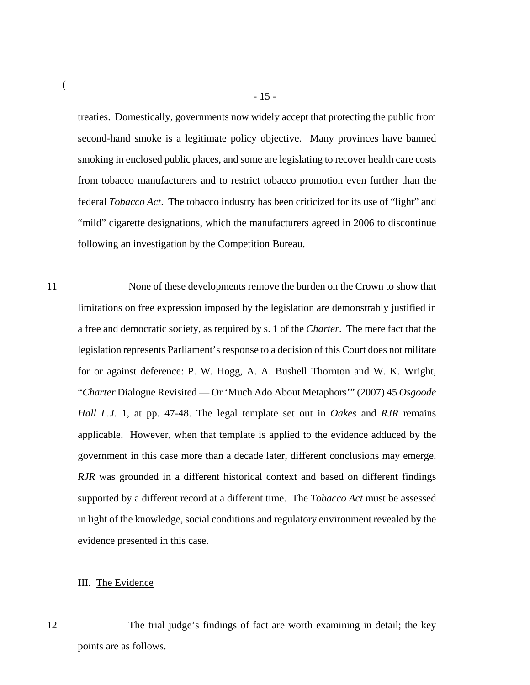treaties. Domestically, governments now widely accept that protecting the public from second-hand smoke is a legitimate policy objective. Many provinces have banned smoking in enclosed public places, and some are legislating to recover health care costs from tobacco manufacturers and to restrict tobacco promotion even further than the federal *Tobacco Act*. The tobacco industry has been criticized for its use of "light" and "mild" cigarette designations, which the manufacturers agreed in 2006 to discontinue following an investigation by the Competition Bureau.

11 None of these developments remove the burden on the Crown to show that limitations on free expression imposed by the legislation are demonstrably justified in a free and democratic society, as required by s. 1 of the *Charter*. The mere fact that the legislation represents Parliament's response to a decision of this Court does not militate for or against deference: P. W. Hogg, A. A. Bushell Thornton and W. K. Wright, "*Charter* Dialogue Revisited — Or 'Much Ado About Metaphors'" (2007) 45 *Osgoode Hall L.J.* 1, at pp. 47-48. The legal template set out in *Oakes* and *RJR* remains applicable. However, when that template is applied to the evidence adduced by the government in this case more than a decade later, different conclusions may emerge. *RJR* was grounded in a different historical context and based on different findings supported by a different record at a different time. The *Tobacco Act* must be assessed in light of the knowledge, social conditions and regulatory environment revealed by the evidence presented in this case.

#### III. The Evidence

12 The trial judge's findings of fact are worth examining in detail; the key points are as follows.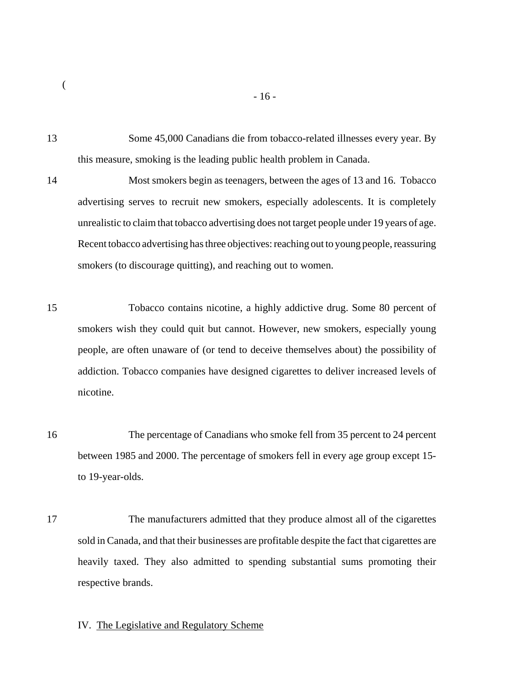- 13 Some 45,000 Canadians die from tobacco-related illnesses every year. By this measure, smoking is the leading public health problem in Canada.
- 14 Most smokers begin as teenagers, between the ages of 13 and 16. Tobacco advertising serves to recruit new smokers, especially adolescents. It is completely unrealistic to claim that tobacco advertising does not target people under 19 years of age. Recent tobacco advertising has three objectives: reaching out to young people, reassuring smokers (to discourage quitting), and reaching out to women.
- 15 Tobacco contains nicotine, a highly addictive drug. Some 80 percent of smokers wish they could quit but cannot. However, new smokers, especially young people, are often unaware of (or tend to deceive themselves about) the possibility of addiction. Tobacco companies have designed cigarettes to deliver increased levels of nicotine.
- 16 The percentage of Canadians who smoke fell from 35 percent to 24 percent between 1985 and 2000. The percentage of smokers fell in every age group except 15 to 19-year-olds.
- 17 The manufacturers admitted that they produce almost all of the cigarettes sold in Canada, and that their businesses are profitable despite the fact that cigarettes are heavily taxed. They also admitted to spending substantial sums promoting their respective brands.
	- IV. The Legislative and Regulatory Scheme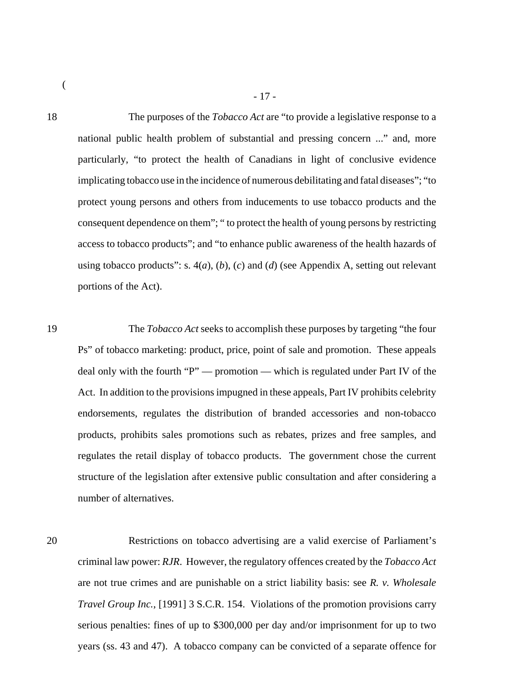18 The purposes of the *Tobacco Act* are "to provide a legislative response to a national public health problem of substantial and pressing concern ..." and, more particularly, "to protect the health of Canadians in light of conclusive evidence implicating tobacco use in the incidence of numerous debilitating and fatal diseases"; "to protect young persons and others from inducements to use tobacco products and the consequent dependence on them"; " to protect the health of young persons by restricting access to tobacco products"; and "to enhance public awareness of the health hazards of using tobacco products": s. 4(*a*), (*b*), (*c*) and (*d*) (see Appendix A, setting out relevant portions of the Act).

19 The *Tobacco Act* seeks to accomplish these purposes by targeting "the four Ps" of tobacco marketing: product, price, point of sale and promotion. These appeals deal only with the fourth "P" — promotion — which is regulated under Part IV of the Act. In addition to the provisions impugned in these appeals, Part IV prohibits celebrity endorsements, regulates the distribution of branded accessories and non-tobacco products, prohibits sales promotions such as rebates, prizes and free samples, and regulates the retail display of tobacco products. The government chose the current structure of the legislation after extensive public consultation and after considering a number of alternatives.

20 Restrictions on tobacco advertising are a valid exercise of Parliament's criminal law power: *RJR*. However, the regulatory offences created by the *Tobacco Act* are not true crimes and are punishable on a strict liability basis: see *R. v. Wholesale Travel Group Inc.*, [1991] 3 S.C.R. 154. Violations of the promotion provisions carry serious penalties: fines of up to \$300,000 per day and/or imprisonment for up to two years (ss. 43 and 47). A tobacco company can be convicted of a separate offence for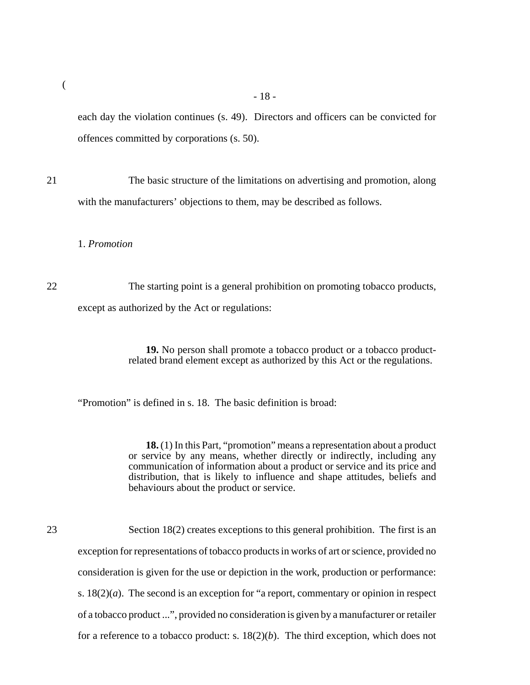each day the violation continues (s. 49). Directors and officers can be convicted for offences committed by corporations (s. 50).

21 The basic structure of the limitations on advertising and promotion, along with the manufacturers' objections to them, may be described as follows.

1. *Promotion*

22 The starting point is a general prohibition on promoting tobacco products, except as authorized by the Act or regulations:

> 19. No person shall promote a tobacco product or a tobacco productrelated brand element except as authorized by this Act or the regulations.

"Promotion" is defined in s. 18. The basic definition is broad:

**18.** (1) In this Part, "promotion" means a representation about a product or service by any means, whether directly or indirectly, including any communication of information about a product or service and its price and distribution, that is likely to influence and shape attitudes, beliefs and behaviours about the product or service.

23 Section 18(2) creates exceptions to this general prohibition. The first is an exception for representations of tobacco products in works of art or science, provided no consideration is given for the use or depiction in the work, production or performance: s.  $18(2)(a)$ . The second is an exception for "a report, commentary or opinion in respect of a tobacco product ...", provided no consideration is given by a manufacturer or retailer for a reference to a tobacco product: s. 18(2)(*b*). The third exception, which does not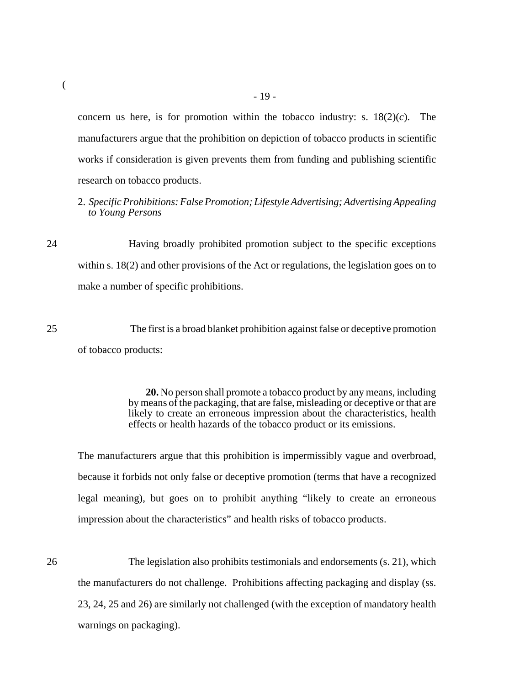concern us here, is for promotion within the tobacco industry: s.  $18(2)(c)$ . The manufacturers argue that the prohibition on depiction of tobacco products in scientific works if consideration is given prevents them from funding and publishing scientific research on tobacco products.

2. *Specific Prohibitions: False Promotion; Lifestyle Advertising; Advertising Appealing to Young Persons*

24 Having broadly prohibited promotion subject to the specific exceptions within s. 18(2) and other provisions of the Act or regulations, the legislation goes on to make a number of specific prohibitions.

25 The first is a broad blanket prohibition against false or deceptive promotion of tobacco products:

> **20.** No person shall promote a tobacco product by any means, including by means of the packaging, that are false, misleading or deceptive or that are likely to create an erroneous impression about the characteristics, health effects or health hazards of the tobacco product or its emissions.

The manufacturers argue that this prohibition is impermissibly vague and overbroad, because it forbids not only false or deceptive promotion (terms that have a recognized legal meaning), but goes on to prohibit anything "likely to create an erroneous impression about the characteristics" and health risks of tobacco products.

26 The legislation also prohibits testimonials and endorsements (s. 21), which the manufacturers do not challenge. Prohibitions affecting packaging and display (ss. 23, 24, 25 and 26) are similarly not challenged (with the exception of mandatory health warnings on packaging).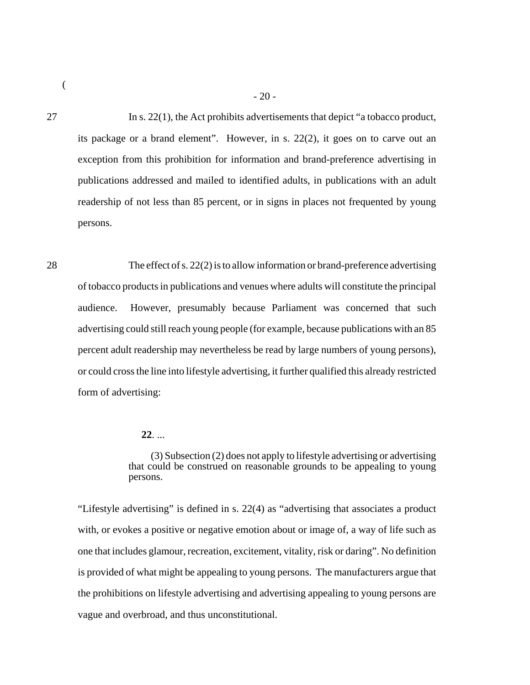27 In s. 22(1), the Act prohibits advertisements that depict "a tobacco product, its package or a brand element". However, in s. 22(2), it goes on to carve out an exception from this prohibition for information and brand-preference advertising in publications addressed and mailed to identified adults, in publications with an adult readership of not less than 85 percent, or in signs in places not frequented by young persons.

28 The effect of s. 22(2) is to allow information or brand-preference advertising of tobacco products in publications and venues where adults will constitute the principal audience. However, presumably because Parliament was concerned that such advertising could still reach young people (for example, because publications with an 85 percent adult readership may nevertheless be read by large numbers of young persons), or could cross the line into lifestyle advertising, it further qualified this already restricted form of advertising:

 **22**. ...

 (3) Subsection (2) does not apply to lifestyle advertising or advertising that could be construed on reasonable grounds to be appealing to young persons.

"Lifestyle advertising" is defined in s. 22(4) as "advertising that associates a product with, or evokes a positive or negative emotion about or image of, a way of life such as one that includes glamour, recreation, excitement, vitality, risk or daring". No definition is provided of what might be appealing to young persons. The manufacturers argue that the prohibitions on lifestyle advertising and advertising appealing to young persons are vague and overbroad, and thus unconstitutional.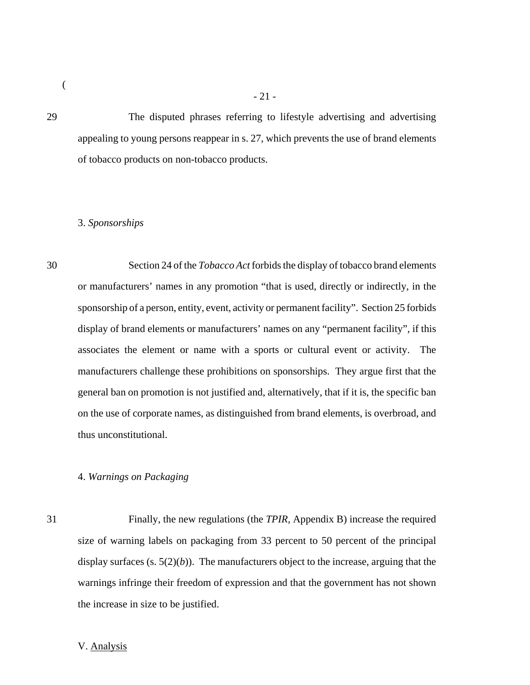29 The disputed phrases referring to lifestyle advertising and advertising appealing to young persons reappear in s. 27, which prevents the use of brand elements of tobacco products on non-tobacco products.

#### 3. *Sponsorships*

30 Section 24 of the *Tobacco Act* forbids the display of tobacco brand elements or manufacturers' names in any promotion "that is used, directly or indirectly, in the sponsorship of a person, entity, event, activity or permanent facility". Section 25 forbids display of brand elements or manufacturers' names on any "permanent facility", if this associates the element or name with a sports or cultural event or activity. The manufacturers challenge these prohibitions on sponsorships. They argue first that the general ban on promotion is not justified and, alternatively, that if it is, the specific ban on the use of corporate names, as distinguished from brand elements, is overbroad, and thus unconstitutional.

## 4. *Warnings on Packaging*

31 Finally, the new regulations (the *TPIR*, Appendix B) increase the required size of warning labels on packaging from 33 percent to 50 percent of the principal display surfaces  $(s. 5(2)(b))$ . The manufacturers object to the increase, arguing that the warnings infringe their freedom of expression and that the government has not shown the increase in size to be justified.

#### V. Analysis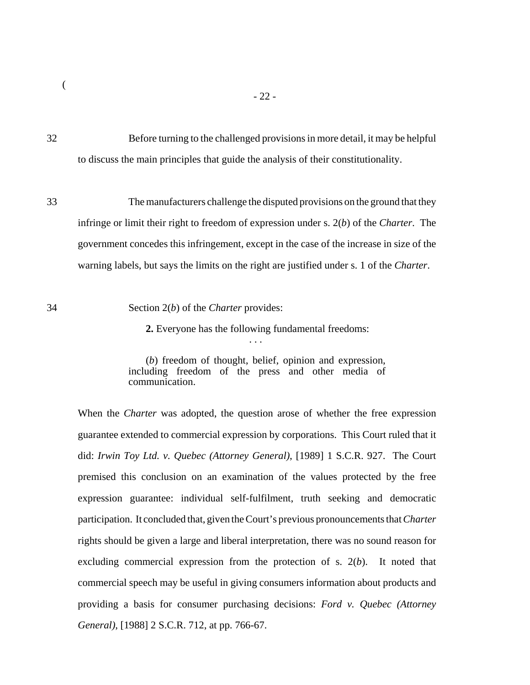32 Before turning to the challenged provisions in more detail, it may be helpful to discuss the main principles that guide the analysis of their constitutionality.

- 22 -

33 The manufacturers challenge the disputed provisions on the ground that they infringe or limit their right to freedom of expression under s. 2(*b*) of the *Charter*.The government concedes this infringement, except in the case of the increase in size of the warning labels, but says the limits on the right are justified under s. 1 of the *Charter*.

34 Section 2(*b*) of the *Charter* provides:

**2.** Everyone has the following fundamental freedoms: . . .

(*b*) freedom of thought, belief, opinion and expression, including freedom of the press and other media of communication.

When the *Charter* was adopted, the question arose of whether the free expression guarantee extended to commercial expression by corporations. This Court ruled that it did: *Irwin Toy Ltd. v. Quebec (Attorney General)*, [1989] 1 S.C.R. 927. The Court premised this conclusion on an examination of the values protected by the free expression guarantee: individual self-fulfilment, truth seeking and democratic participation. It concluded that, given the Court's previous pronouncements that *Charter* rights should be given a large and liberal interpretation, there was no sound reason for excluding commercial expression from the protection of s. 2(*b*). It noted that commercial speech may be useful in giving consumers information about products and providing a basis for consumer purchasing decisions: *Ford v. Quebec (Attorney General)*, [1988] 2 S.C.R. 712, at pp. 766-67.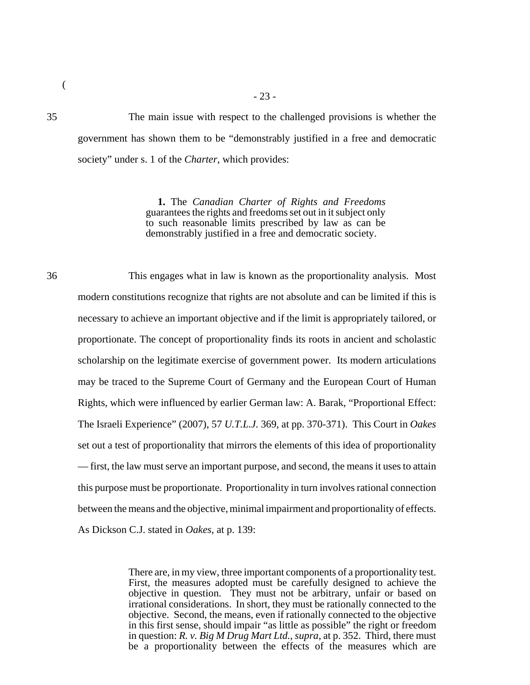35 The main issue with respect to the challenged provisions is whether the government has shown them to be "demonstrably justified in a free and democratic society" under s. 1 of the *Charter*, which provides:

- 23 -

**1.** The *Canadian Charter of Rights and Freedoms* guarantees the rights and freedoms set out in it subject only to such reasonable limits prescribed by law as can be demonstrably justified in a free and democratic society.

36 This engages what in law is known as the proportionality analysis. Most modern constitutions recognize that rights are not absolute and can be limited if this is necessary to achieve an important objective and if the limit is appropriately tailored, or proportionate. The concept of proportionality finds its roots in ancient and scholastic scholarship on the legitimate exercise of government power. Its modern articulations may be traced to the Supreme Court of Germany and the European Court of Human Rights, which were influenced by earlier German law: A. Barak, "Proportional Effect: The Israeli Experience" (2007), 57 *U.T.L.J.* 369, at pp. 370-371). This Court in *Oakes* set out a test of proportionality that mirrors the elements of this idea of proportionality — first, the law must serve an important purpose, and second, the means it uses to attain this purpose must be proportionate. Proportionality in turn involves rational connection between the means and the objective, minimal impairment and proportionality of effects. As Dickson C.J. stated in *Oakes*, at p. 139:

> There are, in my view, three important components of a proportionality test. First, the measures adopted must be carefully designed to achieve the objective in question. They must not be arbitrary, unfair or based on irrational considerations. In short, they must be rationally connected to the objective. Second, the means, even if rationally connected to the objective in this first sense, should impair "as little as possible" the right or freedom in question: *R. v. Big M Drug Mart Ltd.*, *supra*, at p. 352. Third, there must be a proportionality between the effects of the measures which are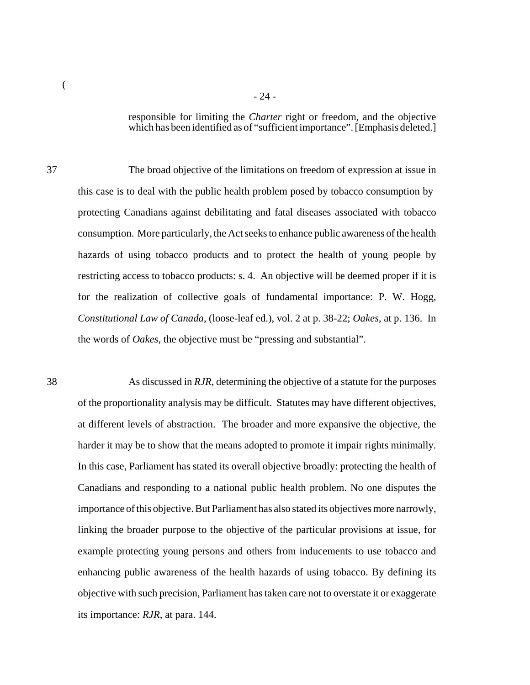# responsible for limiting the *Charter* right or freedom, and the objective which has been identified as of "sufficient importance". [Emphasis deleted.]

37 The broad objective of the limitations on freedom of expression at issue in this case is to deal with the public health problem posed by tobacco consumption by protecting Canadians against debilitating and fatal diseases associated with tobacco consumption. More particularly, the Act seeks to enhance public awareness of the health hazards of using tobacco products and to protect the health of young people by restricting access to tobacco products: s. 4. An objective will be deemed proper if it is for the realization of collective goals of fundamental importance: P. W. Hogg, *Constitutional Law of Canada*, (loose-leaf ed.), vol. 2 at p. 38-22; *Oakes*, at p. 136. In the words of *Oakes*, the objective must be "pressing and substantial".

38 As discussed in *RJR*, determining the objective of a statute for the purposes of the proportionality analysis may be difficult. Statutes may have different objectives, at different levels of abstraction. The broader and more expansive the objective, the harder it may be to show that the means adopted to promote it impair rights minimally. In this case, Parliament has stated its overall objective broadly: protecting the health of Canadians and responding to a national public health problem. No one disputes the importance of this objective. But Parliament has also stated its objectives more narrowly, linking the broader purpose to the objective of the particular provisions at issue, for example protecting young persons and others from inducements to use tobacco and enhancing public awareness of the health hazards of using tobacco. By defining its objective with such precision, Parliament has taken care not to overstate it or exaggerate its importance: *RJR*, at para. 144.

(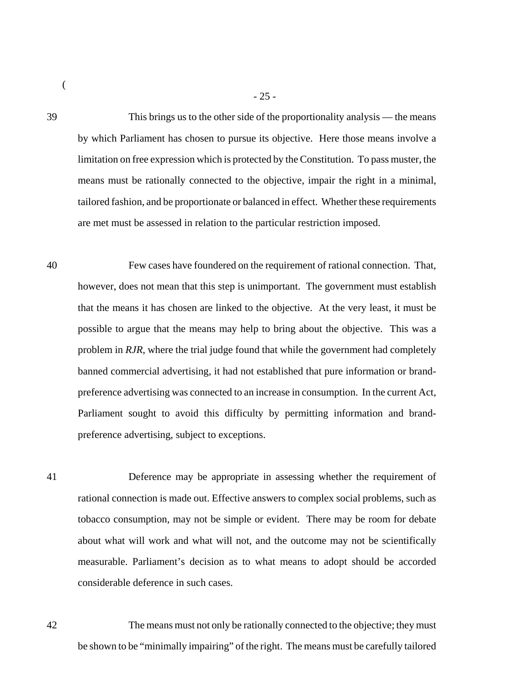- 25 -

39 This brings us to the other side of the proportionality analysis — the means by which Parliament has chosen to pursue its objective. Here those means involve a limitation on free expression which is protected by the Constitution. To pass muster, the means must be rationally connected to the objective, impair the right in a minimal, tailored fashion, and be proportionate or balanced in effect. Whether these requirements are met must be assessed in relation to the particular restriction imposed.

40 Few cases have foundered on the requirement of rational connection. That, however, does not mean that this step is unimportant. The government must establish that the means it has chosen are linked to the objective. At the very least, it must be possible to argue that the means may help to bring about the objective. This was a problem in *RJR*, where the trial judge found that while the government had completely banned commercial advertising, it had not established that pure information or brandpreference advertising was connected to an increase in consumption. In the current Act, Parliament sought to avoid this difficulty by permitting information and brandpreference advertising, subject to exceptions.

41 Deference may be appropriate in assessing whether the requirement of rational connection is made out. Effective answers to complex social problems, such as tobacco consumption, may not be simple or evident. There may be room for debate about what will work and what will not, and the outcome may not be scientifically measurable. Parliament's decision as to what means to adopt should be accorded considerable deference in such cases.

42 The means must not only be rationally connected to the objective; they must be shown to be "minimally impairing" of the right. The means must be carefully tailored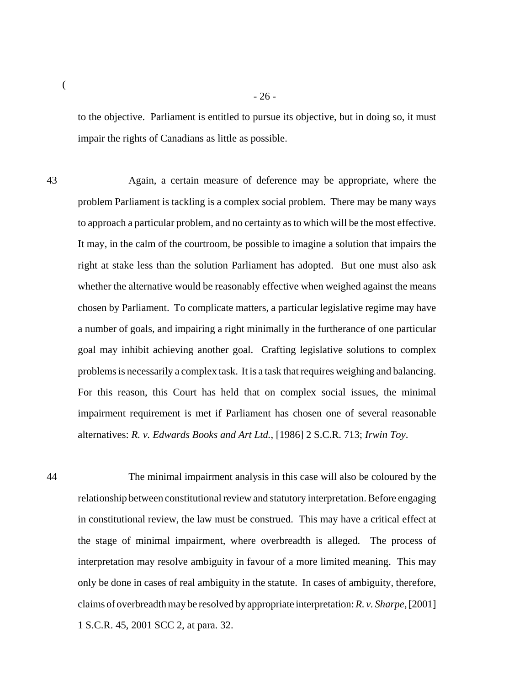to the objective. Parliament is entitled to pursue its objective, but in doing so, it must impair the rights of Canadians as little as possible.

43 Again, a certain measure of deference may be appropriate, where the problem Parliament is tackling is a complex social problem. There may be many ways to approach a particular problem, and no certainty as to which will be the most effective. It may, in the calm of the courtroom, be possible to imagine a solution that impairs the right at stake less than the solution Parliament has adopted. But one must also ask whether the alternative would be reasonably effective when weighed against the means chosen by Parliament. To complicate matters, a particular legislative regime may have a number of goals, and impairing a right minimally in the furtherance of one particular goal may inhibit achieving another goal. Crafting legislative solutions to complex problems is necessarily a complex task. It is a task that requires weighing and balancing. For this reason, this Court has held that on complex social issues, the minimal impairment requirement is met if Parliament has chosen one of several reasonable alternatives: *R. v. Edwards Books and Art Ltd.*, [1986] 2 S.C.R. 713; *Irwin Toy*.

44 The minimal impairment analysis in this case will also be coloured by the relationship between constitutional review and statutory interpretation. Before engaging in constitutional review, the law must be construed. This may have a critical effect at the stage of minimal impairment, where overbreadth is alleged. The process of interpretation may resolve ambiguity in favour of a more limited meaning. This may only be done in cases of real ambiguity in the statute. In cases of ambiguity, therefore, claims of overbreadth may be resolved by appropriate interpretation: *R. v. Sharpe*, [2001] 1 S.C.R. 45, 2001 SCC 2, at para. 32.

- 26 -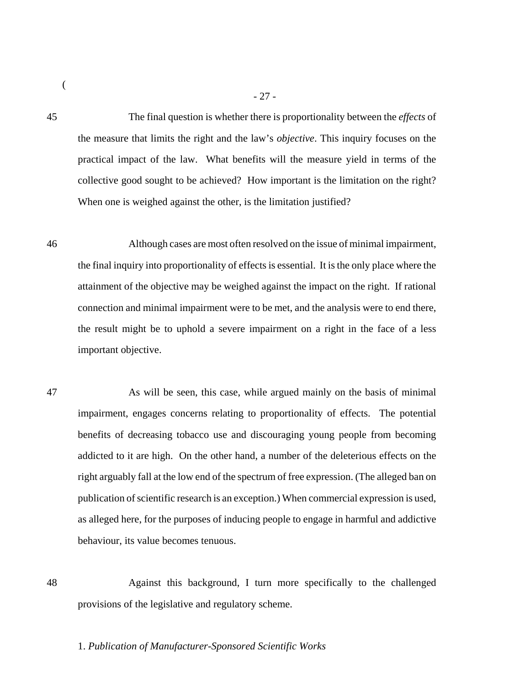45 The final question is whether there is proportionality between the *effects* of the measure that limits the right and the law's *objective*. This inquiry focuses on the practical impact of the law. What benefits will the measure yield in terms of the collective good sought to be achieved? How important is the limitation on the right? When one is weighed against the other, is the limitation justified?

- 27 -

- 46 Although cases are most often resolved on the issue of minimal impairment, the final inquiry into proportionality of effects is essential. It is the only place where the attainment of the objective may be weighed against the impact on the right. If rational connection and minimal impairment were to be met, and the analysis were to end there, the result might be to uphold a severe impairment on a right in the face of a less important objective.
- 47 As will be seen, this case, while argued mainly on the basis of minimal impairment, engages concerns relating to proportionality of effects. The potential benefits of decreasing tobacco use and discouraging young people from becoming addicted to it are high. On the other hand, a number of the deleterious effects on the right arguably fall at the low end of the spectrum of free expression. (The alleged ban on publication of scientific research is an exception.) When commercial expression is used, as alleged here, for the purposes of inducing people to engage in harmful and addictive behaviour, its value becomes tenuous.

48 Against this background, I turn more specifically to the challenged provisions of the legislative and regulatory scheme.

1. *Publication of Manufacturer-Sponsored Scientific Works*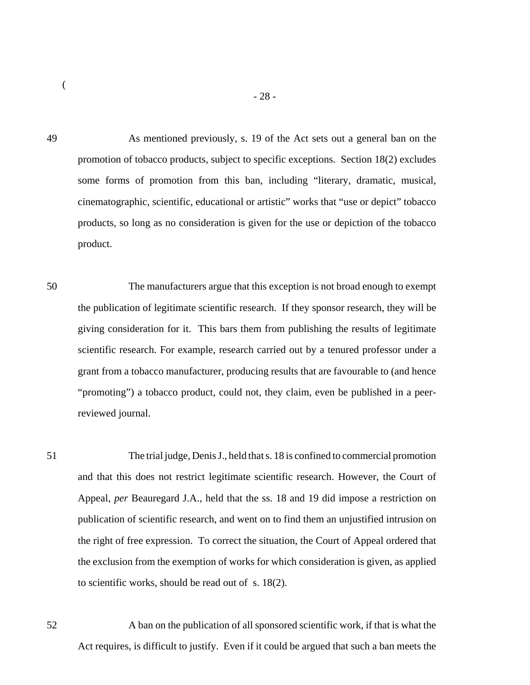49 As mentioned previously, s. 19 of the Act sets out a general ban on the promotion of tobacco products, subject to specific exceptions. Section 18(2) excludes some forms of promotion from this ban, including "literary, dramatic, musical, cinematographic, scientific, educational or artistic" works that "use or depict" tobacco products, so long as no consideration is given for the use or depiction of the tobacco product.

- 28 -

50 The manufacturers argue that this exception is not broad enough to exempt the publication of legitimate scientific research. If they sponsor research, they will be giving consideration for it. This bars them from publishing the results of legitimate scientific research. For example, research carried out by a tenured professor under a grant from a tobacco manufacturer, producing results that are favourable to (and hence "promoting") a tobacco product, could not, they claim, even be published in a peerreviewed journal.

51 The trial judge, Denis J., held that s. 18 is confined to commercial promotion and that this does not restrict legitimate scientific research. However, the Court of Appeal, *per* Beauregard J.A., held that the ss. 18 and 19 did impose a restriction on publication of scientific research, and went on to find them an unjustified intrusion on the right of free expression. To correct the situation, the Court of Appeal ordered that the exclusion from the exemption of works for which consideration is given, as applied to scientific works, should be read out of s. 18(2).

52 A ban on the publication of all sponsored scientific work, if that is what the Act requires, is difficult to justify. Even if it could be argued that such a ban meets the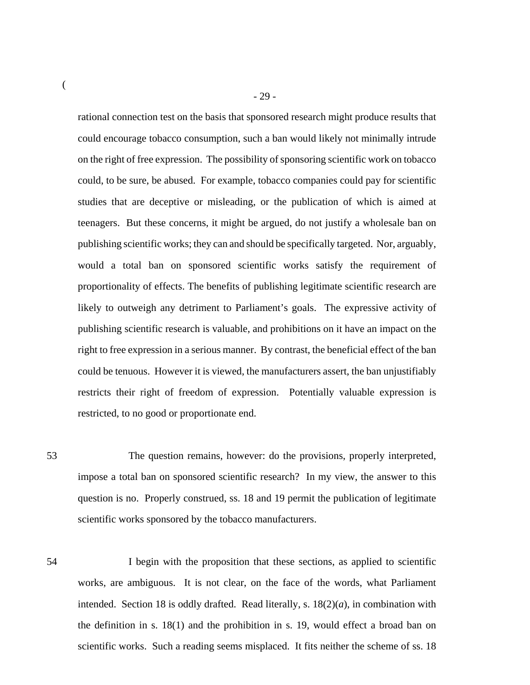rational connection test on the basis that sponsored research might produce results that could encourage tobacco consumption, such a ban would likely not minimally intrude on the right of free expression. The possibility of sponsoring scientific work on tobacco could, to be sure, be abused. For example, tobacco companies could pay for scientific studies that are deceptive or misleading, or the publication of which is aimed at teenagers. But these concerns, it might be argued, do not justify a wholesale ban on publishing scientific works; they can and should be specifically targeted. Nor, arguably, would a total ban on sponsored scientific works satisfy the requirement of proportionality of effects. The benefits of publishing legitimate scientific research are likely to outweigh any detriment to Parliament's goals. The expressive activity of publishing scientific research is valuable, and prohibitions on it have an impact on the right to free expression in a serious manner. By contrast, the beneficial effect of the ban could be tenuous. However it is viewed, the manufacturers assert, the ban unjustifiably restricts their right of freedom of expression. Potentially valuable expression is restricted, to no good or proportionate end.

53 The question remains, however: do the provisions, properly interpreted, impose a total ban on sponsored scientific research? In my view, the answer to this question is no. Properly construed, ss. 18 and 19 permit the publication of legitimate scientific works sponsored by the tobacco manufacturers.

54 I begin with the proposition that these sections, as applied to scientific works, are ambiguous. It is not clear, on the face of the words, what Parliament intended. Section 18 is oddly drafted. Read literally, s.  $18(2)(a)$ , in combination with the definition in s. 18(1) and the prohibition in s. 19, would effect a broad ban on scientific works. Such a reading seems misplaced. It fits neither the scheme of ss. 18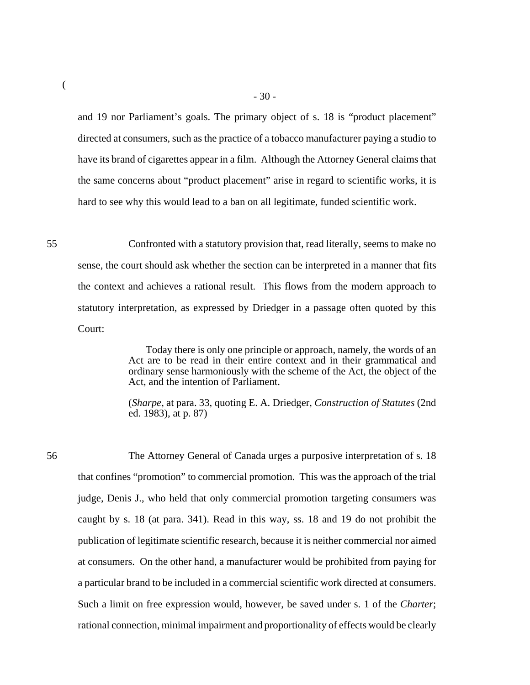and 19 nor Parliament's goals. The primary object of s. 18 is "product placement" directed at consumers, such as the practice of a tobacco manufacturer paying a studio to have its brand of cigarettes appear in a film. Although the Attorney General claims that the same concerns about "product placement" arise in regard to scientific works, it is hard to see why this would lead to a ban on all legitimate, funded scientific work.

55 Confronted with a statutory provision that, read literally, seems to make no sense, the court should ask whether the section can be interpreted in a manner that fits the context and achieves a rational result. This flows from the modern approach to statutory interpretation, as expressed by Driedger in a passage often quoted by this Court:

> Today there is only one principle or approach, namely, the words of an Act are to be read in their entire context and in their grammatical and ordinary sense harmoniously with the scheme of the Act, the object of the Act, and the intention of Parliament.

> (*Sharpe*, at para. 33, quoting E. A. Driedger, *Construction of Statutes* (2nd ed. 1983), at p. 87)

56 The Attorney General of Canada urges a purposive interpretation of s. 18 that confines "promotion" to commercial promotion. This was the approach of the trial judge, Denis J., who held that only commercial promotion targeting consumers was caught by s. 18 (at para. 341). Read in this way, ss. 18 and 19 do not prohibit the publication of legitimate scientific research, because it is neither commercial nor aimed at consumers. On the other hand, a manufacturer would be prohibited from paying for a particular brand to be included in a commercial scientific work directed at consumers. Such a limit on free expression would, however, be saved under s. 1 of the *Charter*; rational connection, minimal impairment and proportionality of effects would be clearly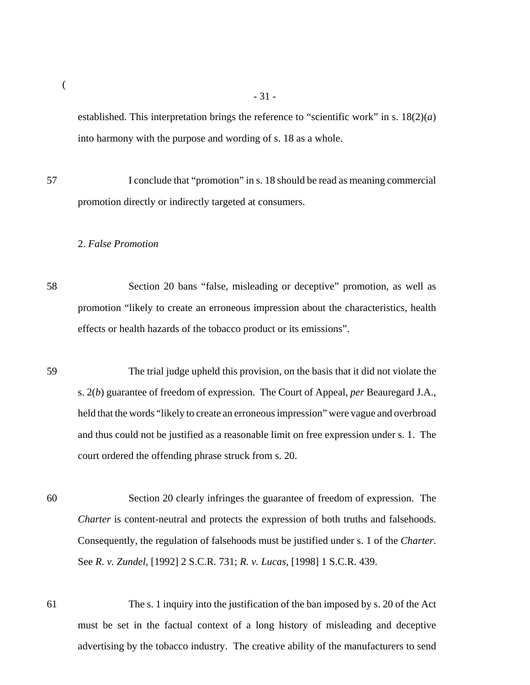established. This interpretation brings the reference to "scientific work" in s. 18(2)(*a*) into harmony with the purpose and wording of s. 18 as a whole.

57 I conclude that "promotion" in s. 18 should be read as meaning commercial promotion directly or indirectly targeted at consumers.

# 2. *False Promotion*

58 Section 20 bans "false, misleading or deceptive" promotion, as well as promotion "likely to create an erroneous impression about the characteristics, health effects or health hazards of the tobacco product or its emissions".

59 The trial judge upheld this provision, on the basis that it did not violate the s. 2(*b*) guarantee of freedom of expression. The Court of Appeal, *per* Beauregard J.A., held that the words "likely to create an erroneous impression" were vague and overbroad and thus could not be justified as a reasonable limit on free expression under s. 1. The court ordered the offending phrase struck from s. 20.

60 Section 20 clearly infringes the guarantee of freedom of expression. The *Charter* is content-neutral and protects the expression of both truths and falsehoods. Consequently, the regulation of falsehoods must be justified under s. 1 of the *Charter*. See *R. v. Zundel*, [1992] 2 S.C.R. 731; *R. v. Lucas*, [1998] 1 S.C.R. 439.

61 The s. 1 inquiry into the justification of the ban imposed by s. 20 of the Act must be set in the factual context of a long history of misleading and deceptive advertising by the tobacco industry. The creative ability of the manufacturers to send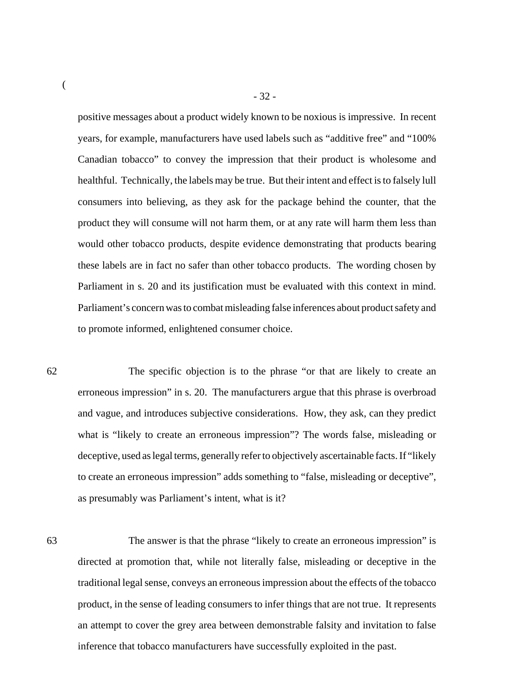positive messages about a product widely known to be noxious is impressive. In recent years, for example, manufacturers have used labels such as "additive free" and "100% Canadian tobacco" to convey the impression that their product is wholesome and healthful. Technically, the labels may be true. But their intent and effect is to falsely lull consumers into believing, as they ask for the package behind the counter, that the product they will consume will not harm them, or at any rate will harm them less than would other tobacco products, despite evidence demonstrating that products bearing these labels are in fact no safer than other tobacco products. The wording chosen by Parliament in s. 20 and its justification must be evaluated with this context in mind. Parliament's concern was to combat misleading false inferences about product safety and to promote informed, enlightened consumer choice.

62 The specific objection is to the phrase "or that are likely to create an erroneous impression" in s. 20. The manufacturers argue that this phrase is overbroad and vague, and introduces subjective considerations. How, they ask, can they predict what is "likely to create an erroneous impression"? The words false, misleading or deceptive, used as legal terms, generally refer to objectively ascertainable facts. If "likely to create an erroneous impression" adds something to "false, misleading or deceptive", as presumably was Parliament's intent, what is it?

63 The answer is that the phrase "likely to create an erroneous impression" is directed at promotion that, while not literally false, misleading or deceptive in the traditional legal sense, conveys an erroneous impression about the effects of the tobacco product, in the sense of leading consumers to infer things that are not true. It represents an attempt to cover the grey area between demonstrable falsity and invitation to false inference that tobacco manufacturers have successfully exploited in the past.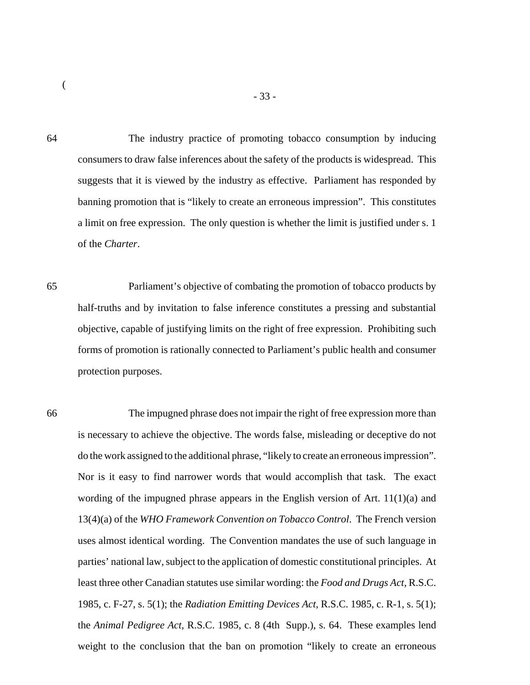64 The industry practice of promoting tobacco consumption by inducing consumers to draw false inferences about the safety of the products is widespread. This suggests that it is viewed by the industry as effective. Parliament has responded by banning promotion that is "likely to create an erroneous impression". This constitutes a limit on free expression. The only question is whether the limit is justified under s. 1 of the *Charter*.

- 33 -

65 Parliament's objective of combating the promotion of tobacco products by half-truths and by invitation to false inference constitutes a pressing and substantial objective, capable of justifying limits on the right of free expression. Prohibiting such forms of promotion is rationally connected to Parliament's public health and consumer protection purposes.

66 The impugned phrase does not impair the right of free expression more than is necessary to achieve the objective. The words false, misleading or deceptive do not do the work assigned to the additional phrase, "likely to create an erroneous impression". Nor is it easy to find narrower words that would accomplish that task. The exact wording of the impugned phrase appears in the English version of Art.  $11(1)(a)$  and 13(4)(a) of the *WHO Framework Convention on Tobacco Control*. The French version uses almost identical wording. The Convention mandates the use of such language in parties' national law, subject to the application of domestic constitutional principles. At least three other Canadian statutes use similar wording: the *Food and Drugs Act*, R.S.C. 1985, c. F-27, s. 5(1); the *Radiation Emitting Devices Act*, R.S.C. 1985, c. R-1, s. 5(1); the *Animal Pedigree Act*, R.S.C. 1985, c. 8 (4th Supp.), s. 64. These examples lend weight to the conclusion that the ban on promotion "likely to create an erroneous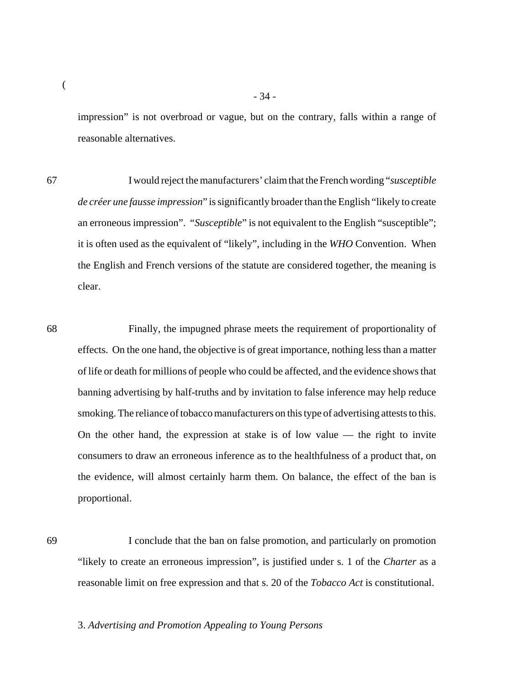impression" is not overbroad or vague, but on the contrary, falls within a range of reasonable alternatives.

67 I would reject the manufacturers' claim that the French wording "*susceptible de créer une fausse impression*" is significantly broader than the English "likely to create an erroneous impression". "*Susceptible*" is not equivalent to the English "susceptible"; it is often used as the equivalent of "likely", including in the *WHO* Convention. When the English and French versions of the statute are considered together, the meaning is clear.

68 Finally, the impugned phrase meets the requirement of proportionality of effects. On the one hand, the objective is of great importance, nothing less than a matter of life or death for millions of people who could be affected, and the evidence shows that banning advertising by half-truths and by invitation to false inference may help reduce smoking. The reliance of tobacco manufacturers on this type of advertising attests to this. On the other hand, the expression at stake is of low value — the right to invite consumers to draw an erroneous inference as to the healthfulness of a product that, on the evidence, will almost certainly harm them. On balance, the effect of the ban is proportional.

69 I conclude that the ban on false promotion, and particularly on promotion "likely to create an erroneous impression", is justified under s. 1 of the *Charter* as a reasonable limit on free expression and that s. 20 of the *Tobacco Act* is constitutional.

3. *Advertising and Promotion Appealing to Young Persons*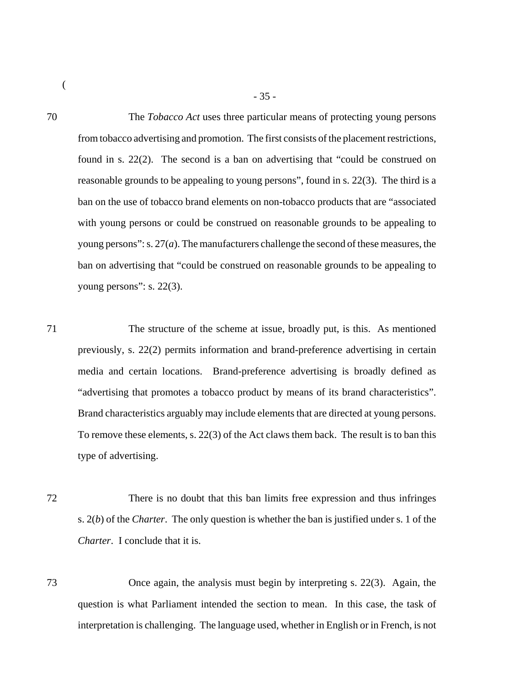young persons": s. 22(3).

70 The *Tobacco Act* uses three particular means of protecting young persons from tobacco advertising and promotion. The first consists of the placement restrictions, found in s. 22(2). The second is a ban on advertising that "could be construed on reasonable grounds to be appealing to young persons", found in s. 22(3). The third is a ban on the use of tobacco brand elements on non-tobacco products that are "associated with young persons or could be construed on reasonable grounds to be appealing to young persons": s. 27(*a*). The manufacturers challenge the second of these measures, the ban on advertising that "could be construed on reasonable grounds to be appealing to

71 The structure of the scheme at issue, broadly put, is this. As mentioned previously, s. 22(2) permits information and brand-preference advertising in certain media and certain locations. Brand-preference advertising is broadly defined as "advertising that promotes a tobacco product by means of its brand characteristics". Brand characteristics arguably may include elements that are directed at young persons. To remove these elements, s. 22(3) of the Act claws them back. The result is to ban this type of advertising.

72 There is no doubt that this ban limits free expression and thus infringes s. 2(*b*) of the *Charter*.The only question is whether the ban is justified under s. 1 of the *Charter*. I conclude that it is.

73 Once again, the analysis must begin by interpreting s. 22(3). Again, the question is what Parliament intended the section to mean. In this case, the task of interpretation is challenging. The language used, whether in English or in French, is not

- 35 -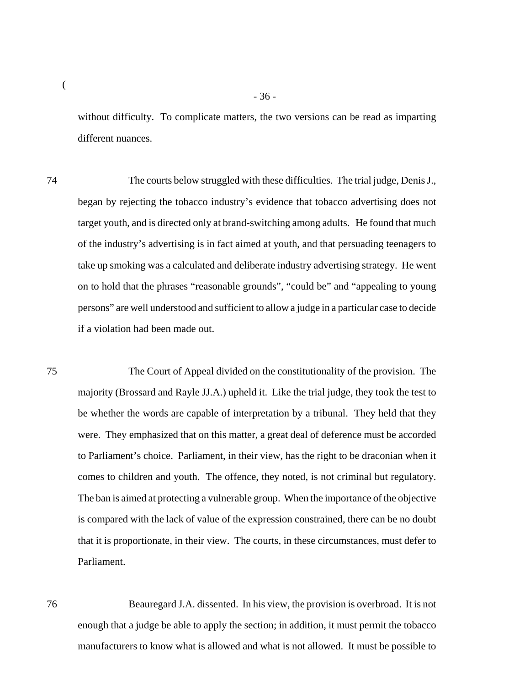without difficulty. To complicate matters, the two versions can be read as imparting different nuances.

- 36 -

74 The courts below struggled with these difficulties. The trial judge, Denis J., began by rejecting the tobacco industry's evidence that tobacco advertising does not target youth, and is directed only at brand-switching among adults. He found that much of the industry's advertising is in fact aimed at youth, and that persuading teenagers to take up smoking was a calculated and deliberate industry advertising strategy. He went on to hold that the phrases "reasonable grounds", "could be" and "appealing to young persons" are well understood and sufficient to allow a judge in a particular case to decide if a violation had been made out.

75 The Court of Appeal divided on the constitutionality of the provision. The majority (Brossard and Rayle JJ.A.) upheld it. Like the trial judge, they took the test to be whether the words are capable of interpretation by a tribunal. They held that they were. They emphasized that on this matter, a great deal of deference must be accorded to Parliament's choice. Parliament, in their view, has the right to be draconian when it comes to children and youth. The offence, they noted, is not criminal but regulatory. The ban is aimed at protecting a vulnerable group. When the importance of the objective is compared with the lack of value of the expression constrained, there can be no doubt that it is proportionate, in their view. The courts, in these circumstances, must defer to Parliament.

76 Beauregard J.A. dissented. In his view, the provision is overbroad. It is not enough that a judge be able to apply the section; in addition, it must permit the tobacco manufacturers to know what is allowed and what is not allowed. It must be possible to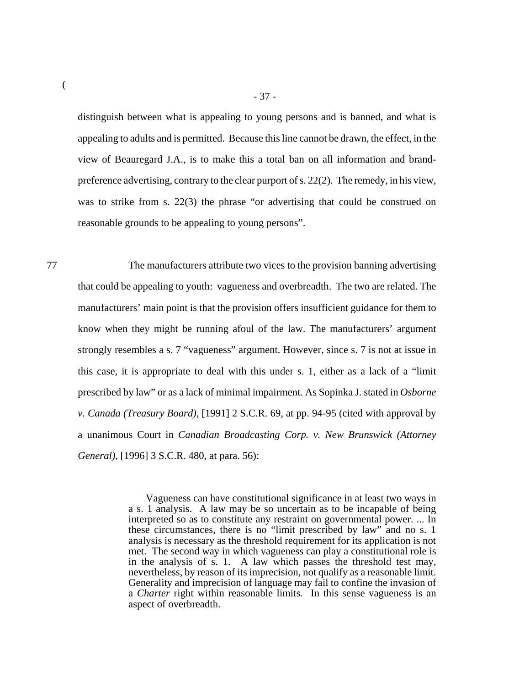distinguish between what is appealing to young persons and is banned, and what is appealing to adults and is permitted. Because this line cannot be drawn, the effect, in the view of Beauregard J.A., is to make this a total ban on all information and brandpreference advertising, contrary to the clear purport of s. 22(2). The remedy, in his view, was to strike from s. 22(3) the phrase "or advertising that could be construed on reasonable grounds to be appealing to young persons".

77 The manufacturers attribute two vices to the provision banning advertising that could be appealing to youth: vagueness and overbreadth. The two are related. The manufacturers' main point is that the provision offers insufficient guidance for them to know when they might be running afoul of the law. The manufacturers' argument strongly resembles a s. 7 "vagueness" argument. However, since s. 7 is not at issue in this case, it is appropriate to deal with this under s. 1, either as a lack of a "limit prescribed by law" or as a lack of minimal impairment. As Sopinka J. stated in *Osborne v. Canada (Treasury Board)*, [1991] 2 S.C.R. 69, at pp. 94-95 (cited with approval by a unanimous Court in *Canadian Broadcasting Corp. v. New Brunswick (Attorney General)*, [1996] 3 S.C.R. 480, at para. 56):

> Vagueness can have constitutional significance in at least two ways in a s. 1 analysis. A law may be so uncertain as to be incapable of being interpreted so as to constitute any restraint on governmental power. ... In these circumstances, there is no "limit prescribed by law" and no s. 1 analysis is necessary as the threshold requirement for its application is not met. The second way in which vagueness can play a constitutional role is in the analysis of s. 1. A law which passes the threshold test may, nevertheless, by reason of its imprecision, not qualify as a reasonable limit. Generality and imprecision of language may fail to confine the invasion of a *Charter* right within reasonable limits. In this sense vagueness is an aspect of overbreadth.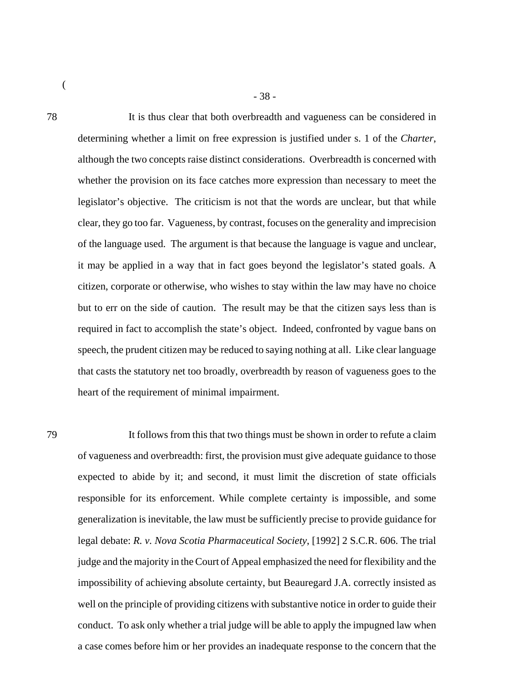78 It is thus clear that both overbreadth and vagueness can be considered in determining whether a limit on free expression is justified under s. 1 of the *Charter*, although the two concepts raise distinct considerations. Overbreadth is concerned with whether the provision on its face catches more expression than necessary to meet the legislator's objective. The criticism is not that the words are unclear, but that while clear, they go too far. Vagueness, by contrast, focuses on the generality and imprecision of the language used. The argument is that because the language is vague and unclear, it may be applied in a way that in fact goes beyond the legislator's stated goals. A citizen, corporate or otherwise, who wishes to stay within the law may have no choice but to err on the side of caution. The result may be that the citizen says less than is required in fact to accomplish the state's object. Indeed, confronted by vague bans on speech, the prudent citizen may be reduced to saying nothing at all. Like clear language that casts the statutory net too broadly, overbreadth by reason of vagueness goes to the heart of the requirement of minimal impairment.

79 It follows from this that two things must be shown in order to refute a claim of vagueness and overbreadth: first, the provision must give adequate guidance to those expected to abide by it; and second, it must limit the discretion of state officials responsible for its enforcement. While complete certainty is impossible, and some generalization is inevitable, the law must be sufficiently precise to provide guidance for legal debate: *R. v. Nova Scotia Pharmaceutical Society*, [1992] 2 S.C.R. 606. The trial judge and the majority in the Court of Appeal emphasized the need for flexibility and the impossibility of achieving absolute certainty, but Beauregard J.A. correctly insisted as well on the principle of providing citizens with substantive notice in order to guide their conduct. To ask only whether a trial judge will be able to apply the impugned law when a case comes before him or her provides an inadequate response to the concern that the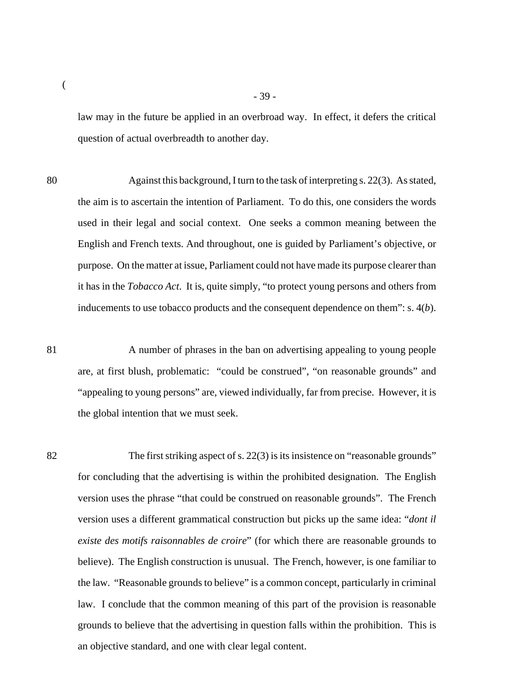law may in the future be applied in an overbroad way. In effect, it defers the critical question of actual overbreadth to another day.

80 Against this background, I turn to the task of interpreting s. 22(3). As stated, the aim is to ascertain the intention of Parliament. To do this, one considers the words used in their legal and social context. One seeks a common meaning between the English and French texts. And throughout, one is guided by Parliament's objective, or purpose. On the matter at issue, Parliament could not have made its purpose clearer than it has in the *Tobacco Act*.It is, quite simply, "to protect young persons and others from inducements to use tobacco products and the consequent dependence on them": s. 4(*b*).

81 A number of phrases in the ban on advertising appealing to young people are, at first blush, problematic: "could be construed", "on reasonable grounds" and "appealing to young persons" are, viewed individually, far from precise. However, it is the global intention that we must seek.

82 The first striking aspect of s. 22(3) is its insistence on "reasonable grounds" for concluding that the advertising is within the prohibited designation. The English version uses the phrase "that could be construed on reasonable grounds". The French version uses a different grammatical construction but picks up the same idea: "*dont il existe des motifs raisonnables de croire*" (for which there are reasonable grounds to believe). The English construction is unusual. The French, however, is one familiar to the law. "Reasonable grounds to believe" is a common concept, particularly in criminal law. I conclude that the common meaning of this part of the provision is reasonable grounds to believe that the advertising in question falls within the prohibition. This is an objective standard, and one with clear legal content.

- 39 -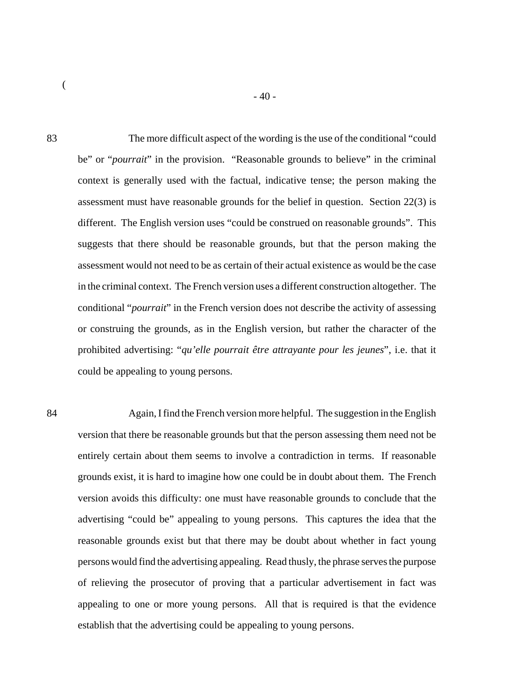83 The more difficult aspect of the wording is the use of the conditional "could be" or "*pourrait*" in the provision. "Reasonable grounds to believe" in the criminal context is generally used with the factual, indicative tense; the person making the assessment must have reasonable grounds for the belief in question. Section 22(3) is different. The English version uses "could be construed on reasonable grounds". This suggests that there should be reasonable grounds, but that the person making the assessment would not need to be as certain of their actual existence as would be the case in the criminal context. The French version uses a different construction altogether. The conditional "*pourrait*" in the French version does not describe the activity of assessing or construing the grounds, as in the English version, but rather the character of the prohibited advertising: "*qu'elle pourrait être attrayante pour les jeunes*", i.e. that it could be appealing to young persons.

84 Again, I find the French version more helpful. The suggestion in the English version that there be reasonable grounds but that the person assessing them need not be entirely certain about them seems to involve a contradiction in terms. If reasonable grounds exist, it is hard to imagine how one could be in doubt about them. The French version avoids this difficulty: one must have reasonable grounds to conclude that the advertising "could be" appealing to young persons. This captures the idea that the reasonable grounds exist but that there may be doubt about whether in fact young persons would find the advertising appealing. Read thusly, the phrase serves the purpose of relieving the prosecutor of proving that a particular advertisement in fact was appealing to one or more young persons. All that is required is that the evidence establish that the advertising could be appealing to young persons.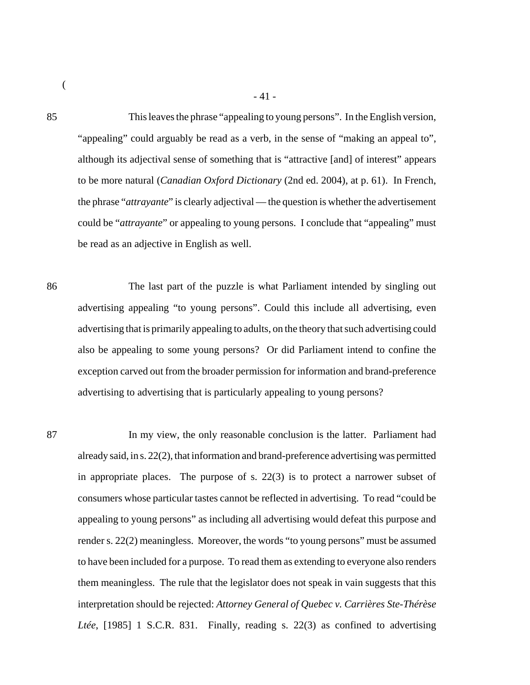- 41 -

85 This leaves the phrase "appealing to young persons". In the English version, "appealing" could arguably be read as a verb, in the sense of "making an appeal to", although its adjectival sense of something that is "attractive [and] of interest" appears to be more natural (*Canadian Oxford Dictionary* (2nd ed. 2004), at p. 61). In French, the phrase "*attrayante*" is clearly adjectival — the question is whether the advertisement could be "*attrayante*" or appealing to young persons. I conclude that "appealing" must be read as an adjective in English as well.

86 The last part of the puzzle is what Parliament intended by singling out advertising appealing "to young persons". Could this include all advertising, even advertising that is primarily appealing to adults, on the theory that such advertising could also be appealing to some young persons? Or did Parliament intend to confine the exception carved out from the broader permission for information and brand-preference advertising to advertising that is particularly appealing to young persons?

87 In my view, the only reasonable conclusion is the latter. Parliament had already said, in s. 22(2), that information and brand-preference advertising was permitted in appropriate places. The purpose of s. 22(3) is to protect a narrower subset of consumers whose particular tastes cannot be reflected in advertising. To read "could be appealing to young persons" as including all advertising would defeat this purpose and render s. 22(2) meaningless. Moreover, the words "to young persons" must be assumed to have been included for a purpose. To read them as extending to everyone also renders them meaningless. The rule that the legislator does not speak in vain suggests that this interpretation should be rejected: *Attorney General of Quebec v. Carrières Ste-Thérèse Ltée*, [1985] 1 S.C.R. 831. Finally, reading s. 22(3) as confined to advertising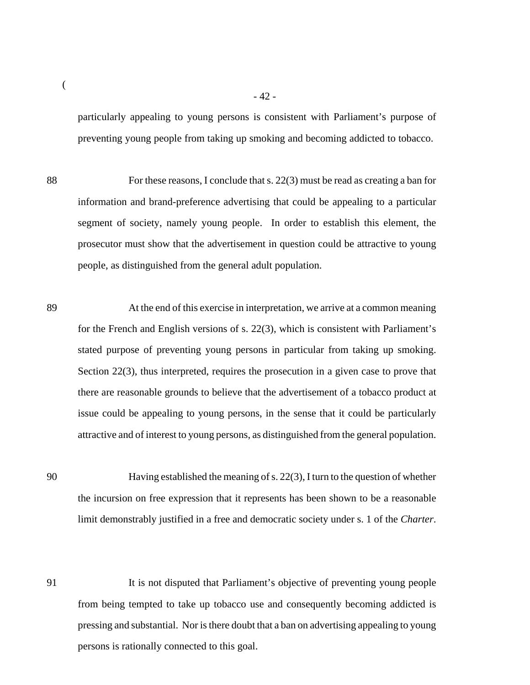particularly appealing to young persons is consistent with Parliament's purpose of preventing young people from taking up smoking and becoming addicted to tobacco.

88 For these reasons, I conclude that s. 22(3) must be read as creating a ban for information and brand-preference advertising that could be appealing to a particular segment of society, namely young people. In order to establish this element, the prosecutor must show that the advertisement in question could be attractive to young people, as distinguished from the general adult population.

89 At the end of this exercise in interpretation, we arrive at a common meaning for the French and English versions of s. 22(3), which is consistent with Parliament's stated purpose of preventing young persons in particular from taking up smoking. Section 22(3), thus interpreted, requires the prosecution in a given case to prove that there are reasonable grounds to believe that the advertisement of a tobacco product at issue could be appealing to young persons, in the sense that it could be particularly attractive and of interest to young persons, as distinguished from the general population.

90 Having established the meaning of s. 22(3), I turn to the question of whether the incursion on free expression that it represents has been shown to be a reasonable limit demonstrably justified in a free and democratic society under s. 1 of the *Charter*.

91 It is not disputed that Parliament's objective of preventing young people from being tempted to take up tobacco use and consequently becoming addicted is pressing and substantial. Nor is there doubt that a ban on advertising appealing to young persons is rationally connected to this goal.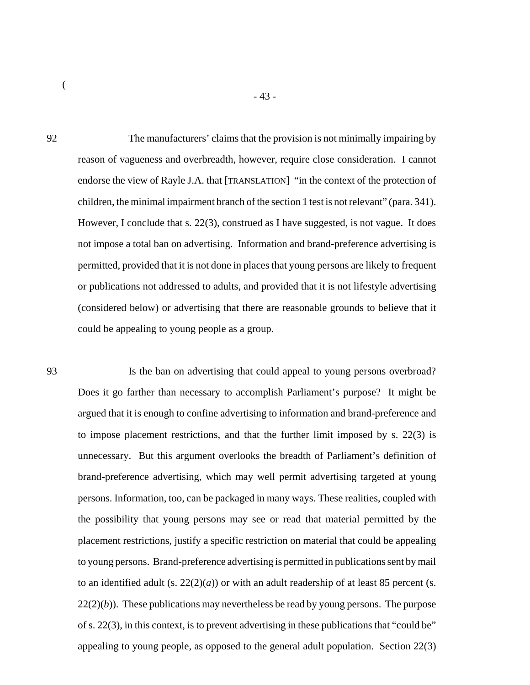92 The manufacturers' claims that the provision is not minimally impairing by reason of vagueness and overbreadth, however, require close consideration. I cannot endorse the view of Rayle J.A. that [TRANSLATION] "in the context of the protection of children, the minimal impairment branch of the section 1 test is not relevant" (para. 341). However, I conclude that s. 22(3), construed as I have suggested, is not vague. It does not impose a total ban on advertising. Information and brand-preference advertising is permitted, provided that it is not done in places that young persons are likely to frequent or publications not addressed to adults, and provided that it is not lifestyle advertising (considered below) or advertising that there are reasonable grounds to believe that it could be appealing to young people as a group.

93 Is the ban on advertising that could appeal to young persons overbroad? Does it go farther than necessary to accomplish Parliament's purpose? It might be argued that it is enough to confine advertising to information and brand-preference and to impose placement restrictions, and that the further limit imposed by s. 22(3) is unnecessary. But this argument overlooks the breadth of Parliament's definition of brand-preference advertising, which may well permit advertising targeted at young persons. Information, too, can be packaged in many ways. These realities, coupled with the possibility that young persons may see or read that material permitted by the placement restrictions, justify a specific restriction on material that could be appealing to young persons. Brand-preference advertising is permitted in publications sent by mail to an identified adult (s.  $22(2)(a)$ ) or with an adult readership of at least 85 percent (s.  $22(2)(b)$ ). These publications may nevertheless be read by young persons. The purpose of s. 22(3), in this context, is to prevent advertising in these publications that "could be" appealing to young people, as opposed to the general adult population. Section 22(3)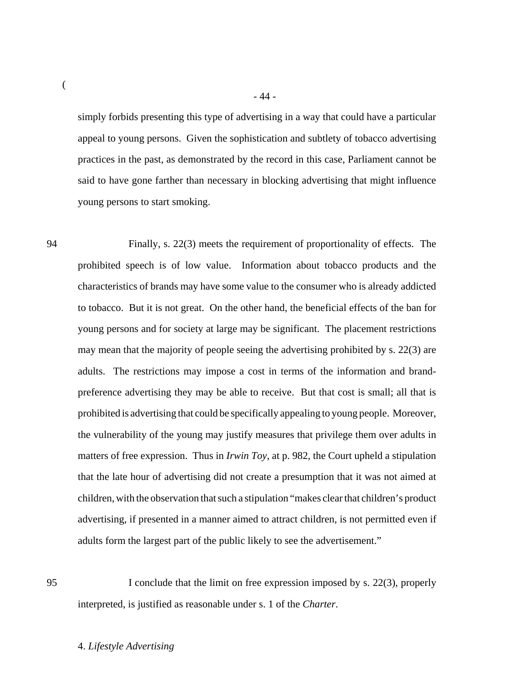simply forbids presenting this type of advertising in a way that could have a particular appeal to young persons. Given the sophistication and subtlety of tobacco advertising practices in the past, as demonstrated by the record in this case, Parliament cannot be said to have gone farther than necessary in blocking advertising that might influence young persons to start smoking.

- 44 -

94 Finally, s. 22(3) meets the requirement of proportionality of effects. The prohibited speech is of low value. Information about tobacco products and the characteristics of brands may have some value to the consumer who is already addicted to tobacco. But it is not great. On the other hand, the beneficial effects of the ban for young persons and for society at large may be significant. The placement restrictions may mean that the majority of people seeing the advertising prohibited by s. 22(3) are adults. The restrictions may impose a cost in terms of the information and brandpreference advertising they may be able to receive. But that cost is small; all that is prohibited is advertising that could be specifically appealing to young people. Moreover, the vulnerability of the young may justify measures that privilege them over adults in matters of free expression. Thus in *Irwin Toy*, at p. 982, the Court upheld a stipulation that the late hour of advertising did not create a presumption that it was not aimed at children, with the observation that such a stipulation "makes clear that children's product advertising, if presented in a manner aimed to attract children, is not permitted even if adults form the largest part of the public likely to see the advertisement."

95 I conclude that the limit on free expression imposed by s. 22(3), properly interpreted, is justified as reasonable under s. 1 of the *Charter*.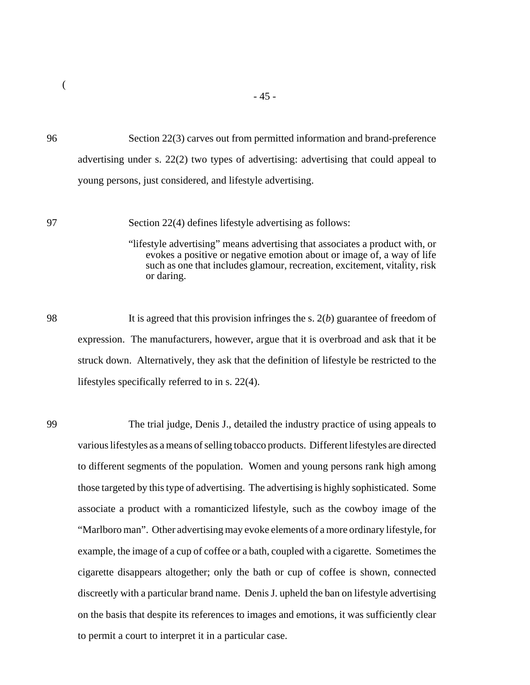96 Section 22(3) carves out from permitted information and brand-preference advertising under s. 22(2) two types of advertising: advertising that could appeal to young persons, just considered, and lifestyle advertising.

97 Section 22(4) defines lifestyle advertising as follows:

"lifestyle advertising" means advertising that associates a product with, or evokes a positive or negative emotion about or image of, a way of life such as one that includes glamour, recreation, excitement, vitality, risk or daring.

98 It is agreed that this provision infringes the s. 2(*b*) guarantee of freedom of expression. The manufacturers, however, argue that it is overbroad and ask that it be struck down. Alternatively, they ask that the definition of lifestyle be restricted to the lifestyles specifically referred to in s. 22(4).

99 The trial judge, Denis J., detailed the industry practice of using appeals to various lifestyles as a means of selling tobacco products. Different lifestyles are directed to different segments of the population. Women and young persons rank high among those targeted by this type of advertising. The advertising is highly sophisticated. Some associate a product with a romanticized lifestyle, such as the cowboy image of the "Marlboro man". Other advertising may evoke elements of a more ordinary lifestyle, for example, the image of a cup of coffee or a bath, coupled with a cigarette. Sometimes the cigarette disappears altogether; only the bath or cup of coffee is shown, connected discreetly with a particular brand name. Denis J. upheld the ban on lifestyle advertising on the basis that despite its references to images and emotions, it was sufficiently clear to permit a court to interpret it in a particular case.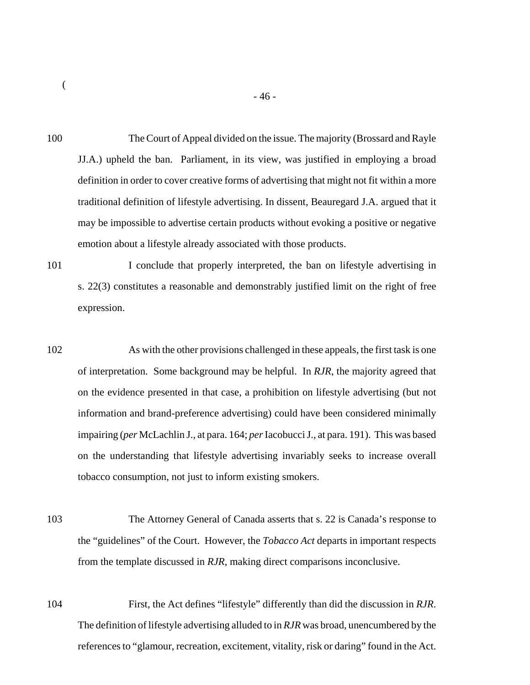- 100 The Court of Appeal divided on the issue. The majority (Brossard and Rayle JJ.A.) upheld the ban. Parliament, in its view, was justified in employing a broad definition in order to cover creative forms of advertising that might not fit within a more traditional definition of lifestyle advertising. In dissent, Beauregard J.A. argued that it may be impossible to advertise certain products without evoking a positive or negative emotion about a lifestyle already associated with those products.
- 101 I conclude that properly interpreted, the ban on lifestyle advertising in s. 22(3) constitutes a reasonable and demonstrably justified limit on the right of free expression.
- 102 As with the other provisions challenged in these appeals, the first task is one of interpretation. Some background may be helpful. In *RJR*, the majority agreed that on the evidence presented in that case, a prohibition on lifestyle advertising (but not information and brand-preference advertising) could have been considered minimally impairing (*per* McLachlin J., at para. 164; *per* Iacobucci J., at para. 191). This was based on the understanding that lifestyle advertising invariably seeks to increase overall tobacco consumption, not just to inform existing smokers.
- 103 The Attorney General of Canada asserts that s. 22 is Canada's response to the "guidelines" of the Court. However, the *Tobacco Act* departs in important respects from the template discussed in *RJR*, making direct comparisons inconclusive.
- 104 First, the Act defines "lifestyle" differently than did the discussion in *RJR*. The definition of lifestyle advertising alluded to in *RJR* was broad, unencumbered by the references to "glamour, recreation, excitement, vitality, risk or daring" found in the Act.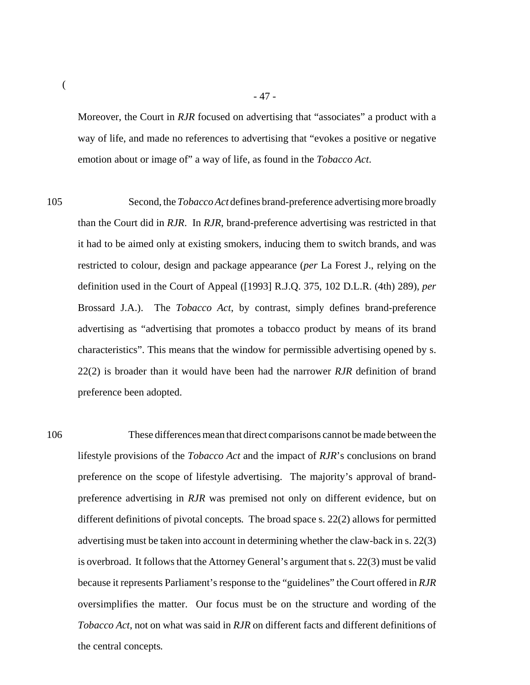Moreover, the Court in *RJR* focused on advertising that "associates" a product with a way of life, and made no references to advertising that "evokes a positive or negative emotion about or image of" a way of life, as found in the *Tobacco Act*.

- 105 Second, the *Tobacco Act* defines brand-preference advertising more broadly than the Court did in *RJR*.In *RJR*, brand-preference advertising was restricted in that it had to be aimed only at existing smokers, inducing them to switch brands, and was restricted to colour, design and package appearance (*per* La Forest J., relying on the definition used in the Court of Appeal ([1993] R.J.Q. 375, 102 D.L.R. (4th) 289), *per* Brossard J.A.). The *Tobacco Act*, by contrast, simply defines brand-preference advertising as "advertising that promotes a tobacco product by means of its brand characteristics". This means that the window for permissible advertising opened by s. 22(2) is broader than it would have been had the narrower *RJR* definition of brand preference been adopted.
- 106 These differences mean that direct comparisons cannot be made between the lifestyle provisions of the *Tobacco Act* and the impact of *RJR*'s conclusions on brand preference on the scope of lifestyle advertising. The majority's approval of brandpreference advertising in *RJR* was premised not only on different evidence, but on different definitions of pivotal concepts*.* The broad space s. 22(2) allows for permitted advertising must be taken into account in determining whether the claw-back in s. 22(3) is overbroad. It follows that the Attorney General's argument that s. 22(3) must be valid because it represents Parliament's response to the "guidelines" the Court offered in *RJR* oversimplifies the matter. Our focus must be on the structure and wording of the *Tobacco Act*, not on what was said in *RJR* on different facts and different definitions of the central concepts*.*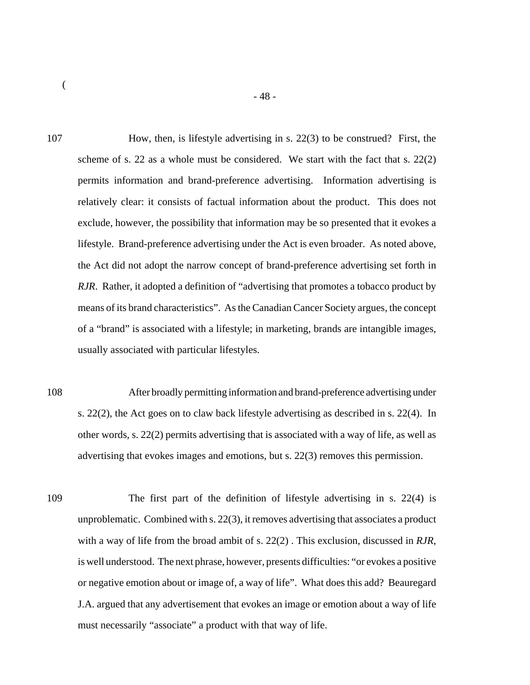- 107 How, then, is lifestyle advertising in s. 22(3) to be construed? First, the scheme of s. 22 as a whole must be considered. We start with the fact that s.  $22(2)$ permits information and brand-preference advertising. Information advertising is relatively clear: it consists of factual information about the product. This does not exclude, however, the possibility that information may be so presented that it evokes a lifestyle. Brand-preference advertising under the Act is even broader. As noted above, the Act did not adopt the narrow concept of brand-preference advertising set forth in *RJR*. Rather, it adopted a definition of "advertising that promotes a tobacco product by means of its brand characteristics". As the Canadian Cancer Society argues, the concept of a "brand" is associated with a lifestyle; in marketing, brands are intangible images, usually associated with particular lifestyles.
- 108 After broadly permitting information and brand-preference advertising under s. 22(2), the Act goes on to claw back lifestyle advertising as described in s. 22(4). In other words, s. 22(2) permits advertising that is associated with a way of life, as well as advertising that evokes images and emotions, but s. 22(3) removes this permission.
- 109 The first part of the definition of lifestyle advertising in s. 22(4) is unproblematic. Combined with s. 22(3), it removes advertising that associates a product with a way of life from the broad ambit of s. 22(2) . This exclusion, discussed in *RJR*, is well understood. The next phrase, however, presents difficulties: "or evokes a positive or negative emotion about or image of, a way of life". What does this add? Beauregard J.A. argued that any advertisement that evokes an image or emotion about a way of life must necessarily "associate" a product with that way of life.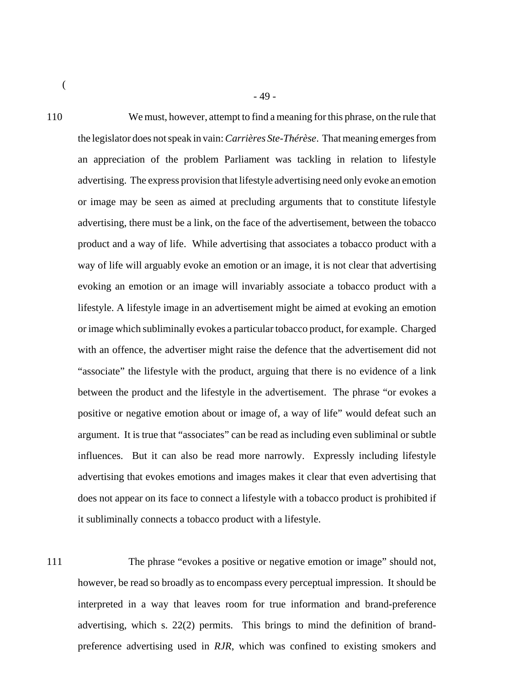110 We must, however, attempt to find a meaning for this phrase, on the rule that the legislator does not speak in vain: *Carrières Ste-Thérèse*.That meaning emerges from an appreciation of the problem Parliament was tackling in relation to lifestyle advertising. The express provision that lifestyle advertising need only evoke an emotion or image may be seen as aimed at precluding arguments that to constitute lifestyle advertising, there must be a link, on the face of the advertisement, between the tobacco product and a way of life. While advertising that associates a tobacco product with a way of life will arguably evoke an emotion or an image, it is not clear that advertising evoking an emotion or an image will invariably associate a tobacco product with a lifestyle. A lifestyle image in an advertisement might be aimed at evoking an emotion or image which subliminally evokes a particular tobacco product, for example. Charged with an offence, the advertiser might raise the defence that the advertisement did not "associate" the lifestyle with the product, arguing that there is no evidence of a link between the product and the lifestyle in the advertisement. The phrase "or evokes a positive or negative emotion about or image of, a way of life" would defeat such an argument. It is true that "associates" can be read as including even subliminal or subtle influences. But it can also be read more narrowly. Expressly including lifestyle advertising that evokes emotions and images makes it clear that even advertising that does not appear on its face to connect a lifestyle with a tobacco product is prohibited if it subliminally connects a tobacco product with a lifestyle.

111 The phrase "evokes a positive or negative emotion or image" should not, however, be read so broadly as to encompass every perceptual impression. It should be interpreted in a way that leaves room for true information and brand-preference advertising, which s. 22(2) permits. This brings to mind the definition of brandpreference advertising used in *RJR*, which was confined to existing smokers and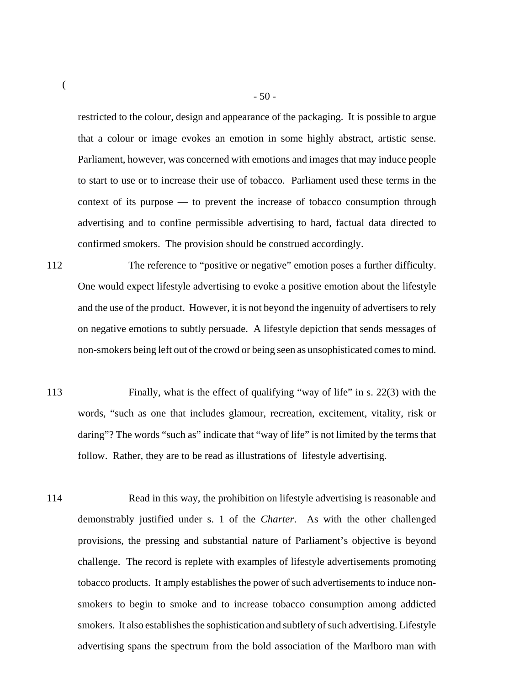restricted to the colour, design and appearance of the packaging. It is possible to argue that a colour or image evokes an emotion in some highly abstract, artistic sense. Parliament, however, was concerned with emotions and images that may induce people to start to use or to increase their use of tobacco. Parliament used these terms in the context of its purpose — to prevent the increase of tobacco consumption through advertising and to confine permissible advertising to hard, factual data directed to confirmed smokers. The provision should be construed accordingly.

112 The reference to "positive or negative" emotion poses a further difficulty. One would expect lifestyle advertising to evoke a positive emotion about the lifestyle and the use of the product. However, it is not beyond the ingenuity of advertisers to rely on negative emotions to subtly persuade. A lifestyle depiction that sends messages of non-smokers being left out of the crowd or being seen as unsophisticated comes to mind.

- 113 Finally, what is the effect of qualifying "way of life" in s. 22(3) with the words, "such as one that includes glamour, recreation, excitement, vitality, risk or daring"? The words "such as" indicate that "way of life" is not limited by the terms that follow. Rather, they are to be read as illustrations of lifestyle advertising.
- 114 Read in this way, the prohibition on lifestyle advertising is reasonable and demonstrably justified under s. 1 of the *Charter*.As with the other challenged provisions, the pressing and substantial nature of Parliament's objective is beyond challenge. The record is replete with examples of lifestyle advertisements promoting tobacco products. It amply establishes the power of such advertisements to induce nonsmokers to begin to smoke and to increase tobacco consumption among addicted smokers. It also establishes the sophistication and subtlety of such advertising. Lifestyle advertising spans the spectrum from the bold association of the Marlboro man with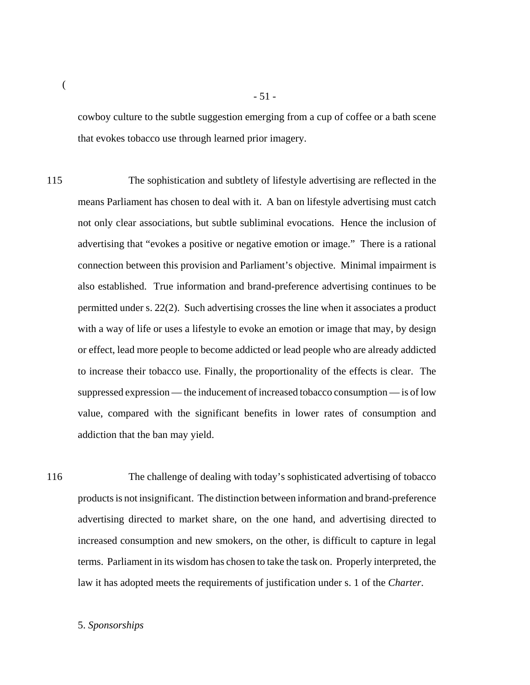cowboy culture to the subtle suggestion emerging from a cup of coffee or a bath scene that evokes tobacco use through learned prior imagery.

115 The sophistication and subtlety of lifestyle advertising are reflected in the means Parliament has chosen to deal with it. A ban on lifestyle advertising must catch not only clear associations, but subtle subliminal evocations. Hence the inclusion of advertising that "evokes a positive or negative emotion or image." There is a rational connection between this provision and Parliament's objective. Minimal impairment is also established. True information and brand-preference advertising continues to be permitted under s. 22(2). Such advertising crosses the line when it associates a product with a way of life or uses a lifestyle to evoke an emotion or image that may, by design or effect, lead more people to become addicted or lead people who are already addicted to increase their tobacco use. Finally, the proportionality of the effects is clear. The suppressed expression — the inducement of increased tobacco consumption — is of low value, compared with the significant benefits in lower rates of consumption and addiction that the ban may yield.

116 The challenge of dealing with today's sophisticated advertising of tobacco products is not insignificant. The distinction between information and brand-preference advertising directed to market share, on the one hand, and advertising directed to increased consumption and new smokers, on the other, is difficult to capture in legal terms. Parliament in its wisdom has chosen to take the task on. Properly interpreted, the law it has adopted meets the requirements of justification under s. 1 of the *Charter*.

5. *Sponsorships*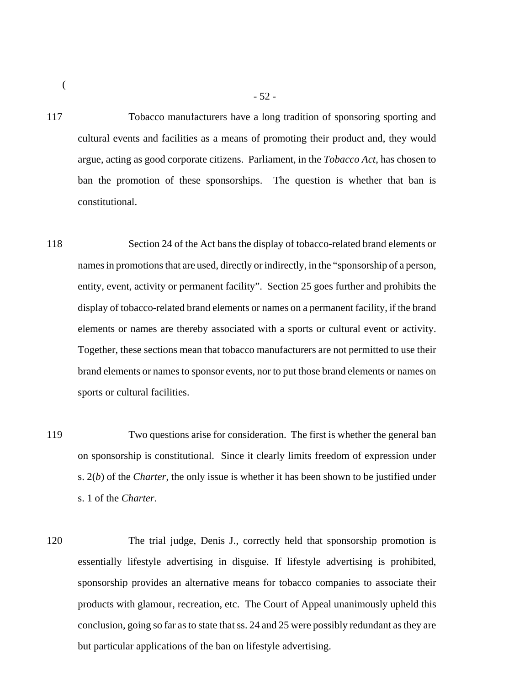117 Tobacco manufacturers have a long tradition of sponsoring sporting and cultural events and facilities as a means of promoting their product and, they would argue, acting as good corporate citizens. Parliament, in the *Tobacco Act*, has chosen to ban the promotion of these sponsorships. The question is whether that ban is constitutional.

118 Section 24 of the Act bans the display of tobacco-related brand elements or names in promotions that are used, directly or indirectly, in the "sponsorship of a person, entity, event, activity or permanent facility". Section 25 goes further and prohibits the display of tobacco-related brand elements or names on a permanent facility, if the brand elements or names are thereby associated with a sports or cultural event or activity. Together, these sections mean that tobacco manufacturers are not permitted to use their brand elements or names to sponsor events, nor to put those brand elements or names on sports or cultural facilities.

119 Two questions arise for consideration. The first is whether the general ban on sponsorship is constitutional. Since it clearly limits freedom of expression under s. 2(*b*) of the *Charter*, the only issue is whether it has been shown to be justified under s. 1 of the *Charter*.

120 The trial judge, Denis J., correctly held that sponsorship promotion is essentially lifestyle advertising in disguise. If lifestyle advertising is prohibited, sponsorship provides an alternative means for tobacco companies to associate their products with glamour, recreation, etc. The Court of Appeal unanimously upheld this conclusion, going so far as to state that ss. 24 and 25 were possibly redundant as they are but particular applications of the ban on lifestyle advertising.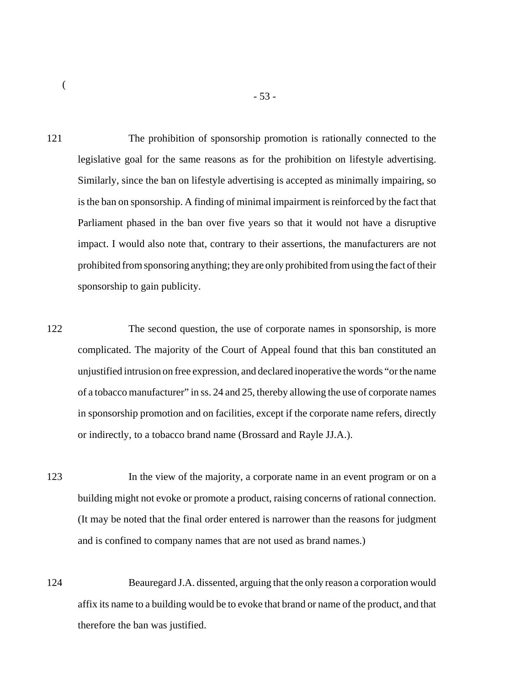121 The prohibition of sponsorship promotion is rationally connected to the legislative goal for the same reasons as for the prohibition on lifestyle advertising. Similarly, since the ban on lifestyle advertising is accepted as minimally impairing, so is the ban on sponsorship. A finding of minimal impairment is reinforced by the fact that Parliament phased in the ban over five years so that it would not have a disruptive impact. I would also note that, contrary to their assertions, the manufacturers are not prohibited from sponsoring anything; they are only prohibited from using the fact of their sponsorship to gain publicity.

- 53 -

- 122 The second question, the use of corporate names in sponsorship, is more complicated. The majority of the Court of Appeal found that this ban constituted an unjustified intrusion on free expression, and declared inoperative the words "or the name of a tobacco manufacturer" in ss. 24 and 25, thereby allowing the use of corporate names in sponsorship promotion and on facilities, except if the corporate name refers, directly or indirectly, to a tobacco brand name (Brossard and Rayle JJ.A.).
- 123 In the view of the majority, a corporate name in an event program or on a building might not evoke or promote a product, raising concerns of rational connection. (It may be noted that the final order entered is narrower than the reasons for judgment and is confined to company names that are not used as brand names.)
- 124 Beauregard J.A. dissented, arguing that the only reason a corporation would affix its name to a building would be to evoke that brand or name of the product, and that therefore the ban was justified.

(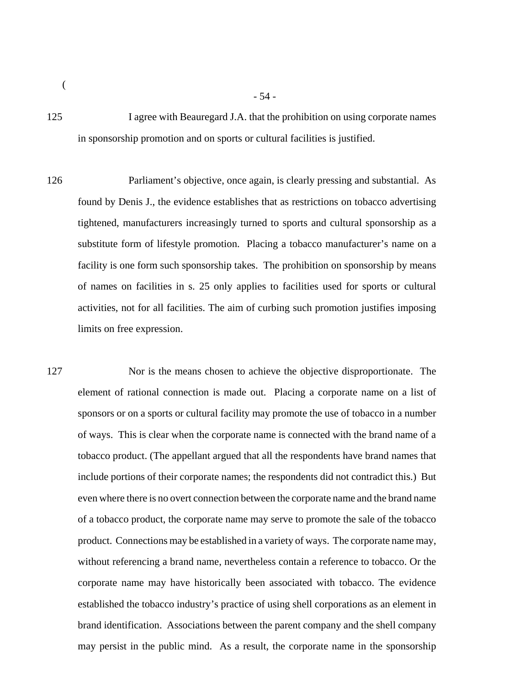125 I agree with Beauregard J.A. that the prohibition on using corporate names in sponsorship promotion and on sports or cultural facilities is justified.

- 54 -

126 Parliament's objective, once again, is clearly pressing and substantial. As found by Denis J., the evidence establishes that as restrictions on tobacco advertising tightened, manufacturers increasingly turned to sports and cultural sponsorship as a substitute form of lifestyle promotion. Placing a tobacco manufacturer's name on a facility is one form such sponsorship takes. The prohibition on sponsorship by means of names on facilities in s. 25 only applies to facilities used for sports or cultural activities, not for all facilities. The aim of curbing such promotion justifies imposing limits on free expression.

127 Nor is the means chosen to achieve the objective disproportionate. The element of rational connection is made out. Placing a corporate name on a list of sponsors or on a sports or cultural facility may promote the use of tobacco in a number of ways. This is clear when the corporate name is connected with the brand name of a tobacco product. (The appellant argued that all the respondents have brand names that include portions of their corporate names; the respondents did not contradict this.) But even where there is no overt connection between the corporate name and the brand name of a tobacco product, the corporate name may serve to promote the sale of the tobacco product. Connections may be established in a variety of ways. The corporate name may, without referencing a brand name, nevertheless contain a reference to tobacco. Or the corporate name may have historically been associated with tobacco. The evidence established the tobacco industry's practice of using shell corporations as an element in brand identification. Associations between the parent company and the shell company may persist in the public mind. As a result, the corporate name in the sponsorship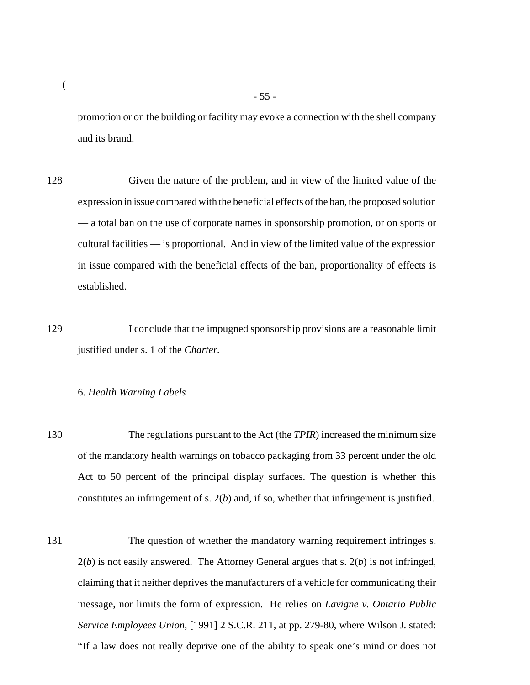promotion or on the building or facility may evoke a connection with the shell company and its brand.

- 128 Given the nature of the problem, and in view of the limited value of the expression in issue compared with the beneficial effects of the ban, the proposed solution — a total ban on the use of corporate names in sponsorship promotion, or on sports or cultural facilities — is proportional. And in view of the limited value of the expression in issue compared with the beneficial effects of the ban, proportionality of effects is established.
- 129 I conclude that the impugned sponsorship provisions are a reasonable limit justified under s. 1 of the *Charter.*

# 6. *Health Warning Labels*

- 130 The regulations pursuant to the Act (the *TPIR*) increased the minimum size of the mandatory health warnings on tobacco packaging from 33 percent under the old Act to 50 percent of the principal display surfaces. The question is whether this constitutes an infringement of s. 2(*b*) and, if so, whether that infringement is justified.
- 131 The question of whether the mandatory warning requirement infringes s.  $2(b)$  is not easily answered. The Attorney General argues that s.  $2(b)$  is not infringed, claiming that it neither deprives the manufacturers of a vehicle for communicating their message, nor limits the form of expression. He relies on *Lavigne v. Ontario Public Service Employees Union*, [1991] 2 S.C.R. 211, at pp. 279-80, where Wilson J. stated: "If a law does not really deprive one of the ability to speak one's mind or does not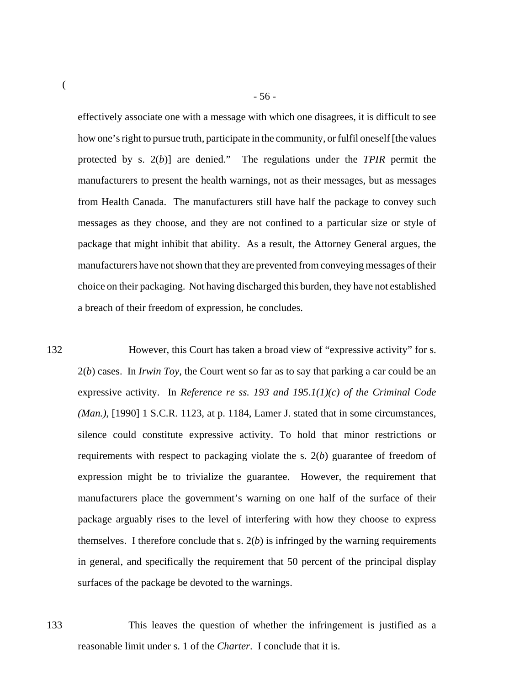effectively associate one with a message with which one disagrees, it is difficult to see how one's right to pursue truth, participate in the community, or fulfil oneself [the values protected by s. 2(*b*)] are denied." The regulations under the *TPIR* permit the manufacturers to present the health warnings, not as their messages, but as messages from Health Canada. The manufacturers still have half the package to convey such messages as they choose, and they are not confined to a particular size or style of package that might inhibit that ability. As a result, the Attorney General argues, the manufacturers have not shown that they are prevented from conveying messages of their choice on their packaging. Not having discharged this burden, they have not established a breach of their freedom of expression, he concludes.

132 However, this Court has taken a broad view of "expressive activity" for s. 2(*b*) cases. In *Irwin Toy*, the Court went so far as to say that parking a car could be an expressive activity. In *Reference re ss. 193 and 195.1(1)(c) of the Criminal Code (Man.)*, [1990] 1 S.C.R. 1123, at p. 1184, Lamer J. stated that in some circumstances, silence could constitute expressive activity. To hold that minor restrictions or requirements with respect to packaging violate the s. 2(*b*) guarantee of freedom of expression might be to trivialize the guarantee. However, the requirement that manufacturers place the government's warning on one half of the surface of their package arguably rises to the level of interfering with how they choose to express themselves. I therefore conclude that  $s$ .  $2(b)$  is infringed by the warning requirements in general, and specifically the requirement that 50 percent of the principal display surfaces of the package be devoted to the warnings.

133 This leaves the question of whether the infringement is justified as a reasonable limit under s. 1 of the *Charter*.I conclude that it is.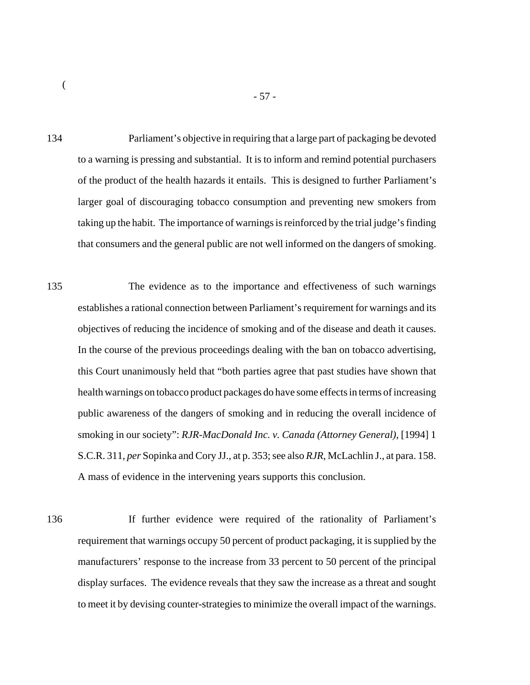134 Parliament's objective in requiring that a large part of packaging be devoted to a warning is pressing and substantial. It is to inform and remind potential purchasers of the product of the health hazards it entails. This is designed to further Parliament's larger goal of discouraging tobacco consumption and preventing new smokers from taking up the habit. The importance of warnings is reinforced by the trial judge's finding that consumers and the general public are not well informed on the dangers of smoking.

- 135 The evidence as to the importance and effectiveness of such warnings establishes a rational connection between Parliament's requirement for warnings and its objectives of reducing the incidence of smoking and of the disease and death it causes. In the course of the previous proceedings dealing with the ban on tobacco advertising, this Court unanimously held that "both parties agree that past studies have shown that health warnings on tobacco product packages do have some effects in terms of increasing public awareness of the dangers of smoking and in reducing the overall incidence of smoking in our society": *RJR*-*MacDonald Inc. v. Canada (Attorney General)*, [1994] 1 S.C.R. 311, *per* Sopinka and Cory JJ., at p. 353; see also *RJR*, McLachlin J., at para. 158. A mass of evidence in the intervening years supports this conclusion.
- 136 If further evidence were required of the rationality of Parliament's requirement that warnings occupy 50 percent of product packaging, it is supplied by the manufacturers' response to the increase from 33 percent to 50 percent of the principal display surfaces. The evidence reveals that they saw the increase as a threat and sought to meet it by devising counter-strategies to minimize the overall impact of the warnings.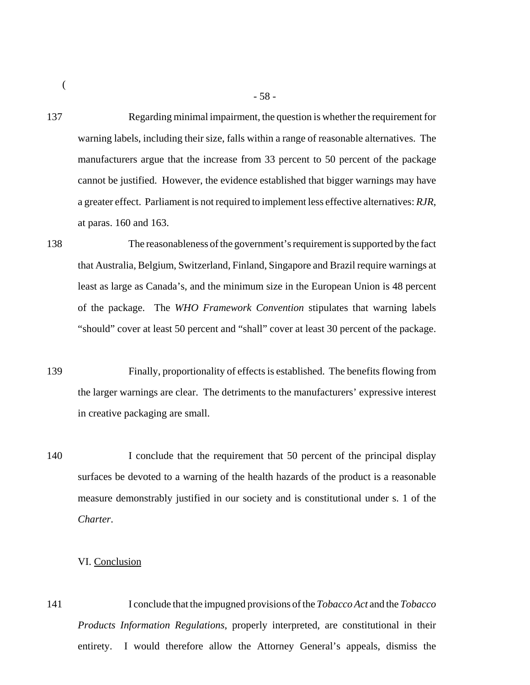137 Regarding minimal impairment, the question is whether the requirement for warning labels, including their size, falls within a range of reasonable alternatives. The manufacturers argue that the increase from 33 percent to 50 percent of the package cannot be justified. However, the evidence established that bigger warnings may have a greater effect. Parliament is not required to implement less effective alternatives: *RJR*, at paras. 160 and 163.

138 The reasonableness of the government's requirement is supported by the fact that Australia, Belgium, Switzerland, Finland, Singapore and Brazil require warnings at least as large as Canada's, and the minimum size in the European Union is 48 percent of the package. The *WHO Framework Convention* stipulates that warning labels "should" cover at least 50 percent and "shall" cover at least 30 percent of the package.

139 Finally, proportionality of effects is established. The benefits flowing from the larger warnings are clear. The detriments to the manufacturers' expressive interest in creative packaging are small.

140 I conclude that the requirement that 50 percent of the principal display surfaces be devoted to a warning of the health hazards of the product is a reasonable measure demonstrably justified in our society and is constitutional under s. 1 of the *Charter*.

# VI. Conclusion

141 I conclude that the impugned provisions of the *Tobacco Act* and the *Tobacco Products Information Regulations*, properly interpreted, are constitutional in their entirety. I would therefore allow the Attorney General's appeals, dismiss the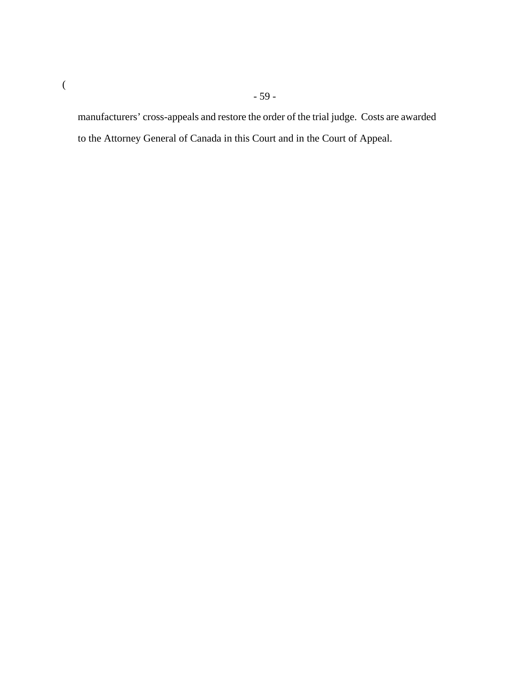manufacturers' cross-appeals and restore the order of the trial judge. Costs are awarded to the Attorney General of Canada in this Court and in the Court of Appeal.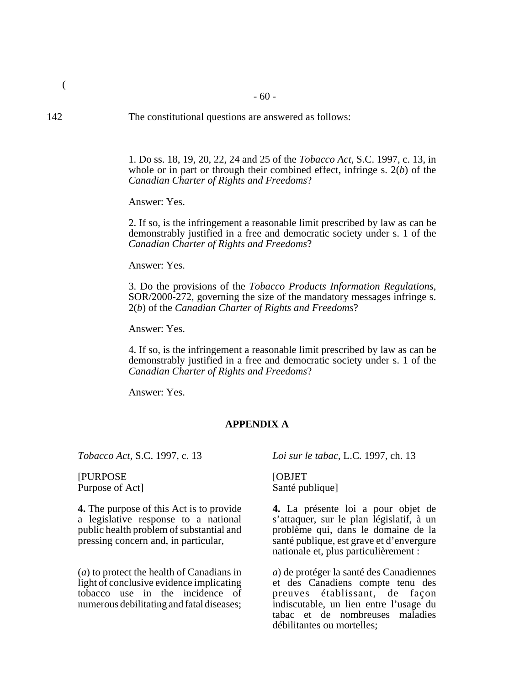142 The constitutional questions are answered as follows:

1. Do ss. 18, 19, 20, 22, 24 and 25 of the *Tobacco Act*, S.C. 1997, c. 13, in whole or in part or through their combined effect, infringe s. 2(*b*) of the *Canadian Charter of Rights and Freedoms*?

Answer: Yes.

2. If so, is the infringement a reasonable limit prescribed by law as can be demonstrably justified in a free and democratic society under s. 1 of the *Canadian Charter of Rights and Freedoms*?

Answer: Yes.

3. Do the provisions of the *Tobacco Products Information Regulations*, SOR/2000-272, governing the size of the mandatory messages infringe s. 2(*b*) of the *Canadian Charter of Rights and Freedoms*?

Answer: Yes.

4. If so, is the infringement a reasonable limit prescribed by law as can be demonstrably justified in a free and democratic society under s. 1 of the *Canadian Charter of Rights and Freedoms*?

Answer: Yes.

# **APPENDIX A**

*Tobacco Act*, S.C. 1997, c. 13

[PURPOSE Purpose of Act]

**4.** The purpose of this Act is to provide a legislative response to a national public health problem of substantial and pressing concern and, in particular,

(*a*) to protect the health of Canadians in light of conclusive evidence implicating tobacco use in the incidence of numerous debilitating and fatal diseases;

*Loi sur le tabac*, L.C. 1997, ch. 13

[OBJET Santé publique]

**4.** La présente loi a pour objet de s'attaquer, sur le plan législatif, à un problème qui, dans le domaine de la santé publique, est grave et d'envergure nationale et, plus particulièrement :

*a*) de protéger la santé des Canadiennes et des Canadiens compte tenu des preuves établissant, de façon indiscutable, un lien entre l'usage du tabac et de nombreuses maladies débilitantes ou mortelles;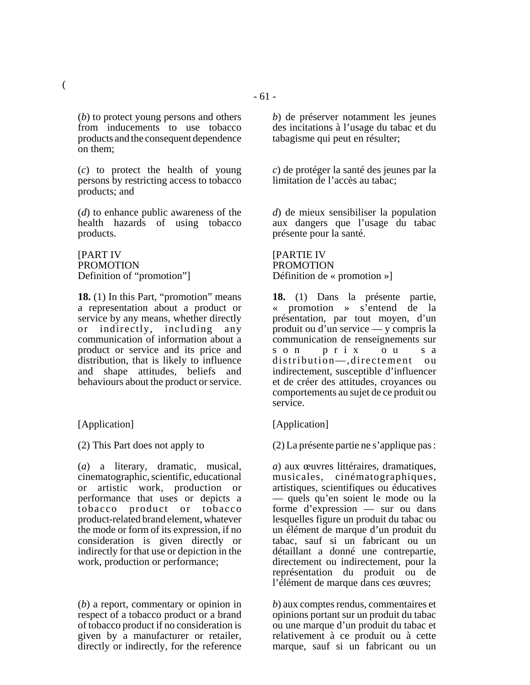(*b*) to protect young persons and others from inducements to use tobacco products and the consequent dependence on them;

(*c*) to protect the health of young persons by restricting access to tobacco products; and

(*d*) to enhance public awareness of the health hazards of using tobacco products.

## [PART IV PROMOTION Definition of "promotion"]

**18.** (1) In this Part, "promotion" means a representation about a product or service by any means, whether directly or indirectly, including any communication of information about a product or service and its price and distribution, that is likely to influence and shape attitudes, beliefs and behaviours about the product or service.

# [Application]

(2) This Part does not apply to

(*a*) a literary, dramatic, musical, cinematographic, scientific, educational or artistic work, production or performance that uses or depicts a tobacco product or tobacco product-related brand element, whatever the mode or form of its expression, if no consideration is given directly or indirectly for that use or depiction in the work, production or performance;

(*b*) a report, commentary or opinion in respect of a tobacco product or a brand of tobacco product if no consideration is given by a manufacturer or retailer, directly or indirectly, for the reference

*b*) de préserver notamment les jeunes des incitations à l'usage du tabac et du tabagisme qui peut en résulter;

*c*) de protéger la santé des jeunes par la limitation de l'accès au tabac;

*d*) de mieux sensibiliser la population aux dangers que l'usage du tabac présente pour la santé.

[PARTIE IV PROMOTION Définition de « promotion »]

**18.** (1) Dans la présente partie, « promotion » s'entend de la présentation, par tout moyen, d'un produit ou d'un service — y compris la communication de renseignements sur son prix ou sa distribution—,directement ou indirectement, susceptible d'influencer et de créer des attitudes, croyances ou comportements au sujet de ce produit ou service.

[Application]

(2) La présente partie ne s'applique pas :

*a*) aux œuvres littéraires, dramatiques, musicales, cinématographiques, artistiques, scientifiques ou éducatives — quels qu'en soient le mode ou la forme d'expression — sur ou dans lesquelles figure un produit du tabac ou un élément de marque d'un produit du tabac, sauf si un fabricant ou un détaillant a donné une contrepartie, directement ou indirectement, pour la représentation du produit ou de l'élément de marque dans ces œuvres;

*b*) aux comptes rendus, commentaires et opinions portant sur un produit du tabac ou une marque d'un produit du tabac et relativement à ce produit ou à cette marque, sauf si un fabricant ou un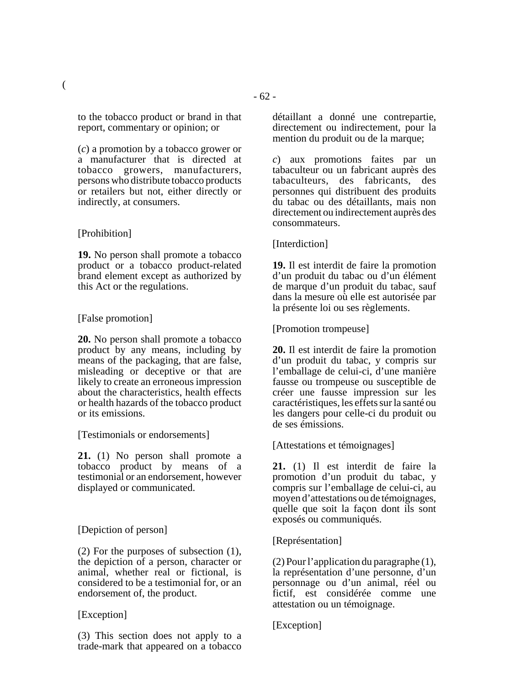to the tobacco product or brand in that report, commentary or opinion; or

(*c*) a promotion by a tobacco grower or a manufacturer that is directed at tobacco growers, manufacturers, persons who distribute tobacco products or retailers but not, either directly or indirectly, at consumers.

## [Prohibition]

**19.** No person shall promote a tobacco product or a tobacco product-related brand element except as authorized by this Act or the regulations.

# [False promotion]

**20.** No person shall promote a tobacco product by any means, including by means of the packaging, that are false, misleading or deceptive or that are likely to create an erroneous impression about the characteristics, health effects or health hazards of the tobacco product or its emissions.

[Testimonials or endorsements]

**21.** (1) No person shall promote a tobacco product by means of a testimonial or an endorsement, however displayed or communicated.

## [Depiction of person]

(2) For the purposes of subsection (1), the depiction of a person, character or animal, whether real or fictional, is considered to be a testimonial for, or an endorsement of, the product.

## [Exception]

(3) This section does not apply to a trade-mark that appeared on a tobacco

détaillant a donné une contrepartie, directement ou indirectement, pour la mention du produit ou de la marque;

*c*) aux promotions faites par un tabaculteur ou un fabricant auprès des tabaculteurs, des fabricants, des personnes qui distribuent des produits du tabac ou des détaillants, mais non directement ou indirectement auprès des consommateurs.

#### [Interdiction]

**19.** Il est interdit de faire la promotion d'un produit du tabac ou d'un élément de marque d'un produit du tabac, sauf dans la mesure où elle est autorisée par la présente loi ou ses règlements.

#### [Promotion trompeuse]

**20.** Il est interdit de faire la promotion d'un produit du tabac, y compris sur l'emballage de celui-ci, d'une manière fausse ou trompeuse ou susceptible de créer une fausse impression sur les caractéristiques, les effets sur la santé ou les dangers pour celle-ci du produit ou de ses émissions.

[Attestations et témoignages]

**21.** (1) Il est interdit de faire la promotion d'un produit du tabac, y compris sur l'emballage de celui-ci, au moyen d'attestations ou de témoignages, quelle que soit la façon dont ils sont exposés ou communiqués.

#### [Représentation]

(2) Pour l'application du paragraphe (1), la représentation d'une personne, d'un personnage ou d'un animal, réel ou fictif, est considérée comme une attestation ou un témoignage.

# [Exception]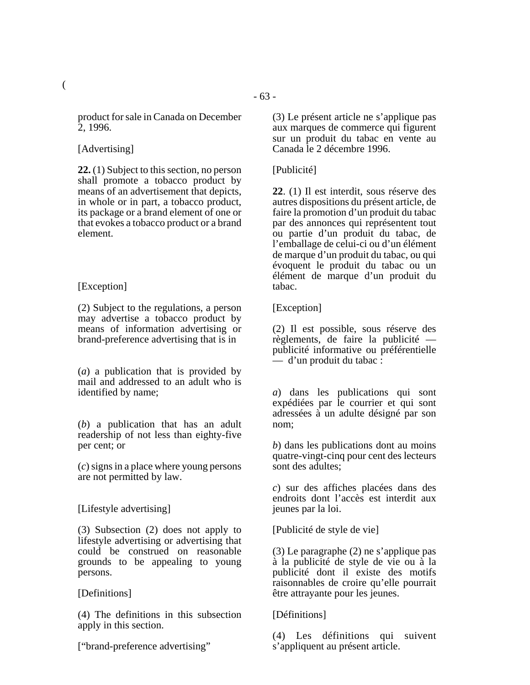product for sale in Canada on December 2, 1996.

## [Advertising]

**22.** (1) Subject to this section, no person shall promote a tobacco product by means of an advertisement that depicts, in whole or in part, a tobacco product, its package or a brand element of one or that evokes a tobacco product or a brand element.

#### [Exception]

(2) Subject to the regulations, a person may advertise a tobacco product by means of information advertising or brand-preference advertising that is in

(*a*) a publication that is provided by mail and addressed to an adult who is identified by name;

(*b*) a publication that has an adult readership of not less than eighty-five per cent; or

(*c*) signs in a place where young persons are not permitted by law.

## [Lifestyle advertising]

(3) Subsection (2) does not apply to lifestyle advertising or advertising that could be construed on reasonable grounds to be appealing to young persons.

[Definitions]

(4) The definitions in this subsection apply in this section.

["brand-preference advertising"

(3) Le présent article ne s'applique pas aux marques de commerce qui figurent sur un produit du tabac en vente au Canada le 2 décembre 1996.

#### [Publicité]

**22**. (1) Il est interdit, sous réserve des autres dispositions du présent article, de faire la promotion d'un produit du tabac par des annonces qui représentent tout ou partie d'un produit du tabac, de l'emballage de celui-ci ou d'un élément de marque d'un produit du tabac, ou qui évoquent le produit du tabac ou un élément de marque d'un produit du tabac.

[Exception]

(2) Il est possible, sous réserve des règlements, de faire la publicité publicité informative ou préférentielle — d'un produit du tabac :

*a*) dans les publications qui sont expédiées par le courrier et qui sont adressées à un adulte désigné par son nom;

*b*) dans les publications dont au moins quatre-vingt-cinq pour cent des lecteurs sont des adultes;

*c*) sur des affiches placées dans des endroits dont l'accès est interdit aux jeunes par la loi.

[Publicité de style de vie]

(3) Le paragraphe (2) ne s'applique pas à la publicité de style de vie ou à la publicité dont il existe des motifs raisonnables de croire qu'elle pourrait être attrayante pour les jeunes.

[Définitions]

(4) Les définitions qui suivent s'appliquent au présent article.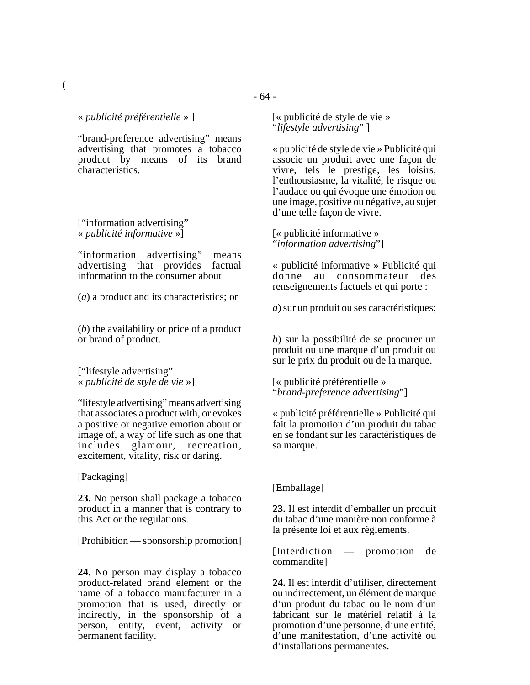« *publicité préférentielle* » ]

"brand-preference advertising" means advertising that promotes a tobacco product by means of its brand characteristics.

["information advertising" « *publicité informative* »]

"information advertising" means advertising that provides factual information to the consumer about

(*a*) a product and its characteristics; or

(*b*) the availability or price of a product or brand of product.

["lifestyle advertising" « *publicité de style de vie* »]

"lifestyle advertising" means advertising that associates a product with, or evokes a positive or negative emotion about or image of, a way of life such as one that includes glamour, recreation, excitement, vitality, risk or daring.

[Packaging]

**23.** No person shall package a tobacco product in a manner that is contrary to this Act or the regulations.

[Prohibition — sponsorship promotion]

**24.** No person may display a tobacco product-related brand element or the name of a tobacco manufacturer in a promotion that is used, directly or indirectly, in the sponsorship of a person, entity, event, activity or permanent facility.

[« publicité de style de vie » "*lifestyle advertising*" ]

« publicité de style de vie » Publicité qui associe un produit avec une façon de vivre, tels le prestige, les loisirs, l'enthousiasme, la vitalité, le risque ou l'audace ou qui évoque une émotion ou une image, positive ou négative, au sujet d'une telle façon de vivre.

[« publicité informative » "*information advertising*"]

« publicité informative » Publicité qui donne au consommateur des renseignements factuels et qui porte :

*a*) sur un produit ou ses caractéristiques;

*b*) sur la possibilité de se procurer un produit ou une marque d'un produit ou sur le prix du produit ou de la marque.

[« publicité préférentielle » "*brand-preference advertising*"]

« publicité préférentielle » Publicité qui fait la promotion d'un produit du tabac en se fondant sur les caractéristiques de sa marque.

## [Emballage]

**23.** Il est interdit d'emballer un produit du tabac d'une manière non conforme à la présente loi et aux règlements.

[Interdiction — promotion de commandite]

**24.** Il est interdit d'utiliser, directement ou indirectement, un élément de marque d'un produit du tabac ou le nom d'un fabricant sur le matériel relatif à la promotion d'une personne, d'une entité, d'une manifestation, d'une activité ou d'installations permanentes.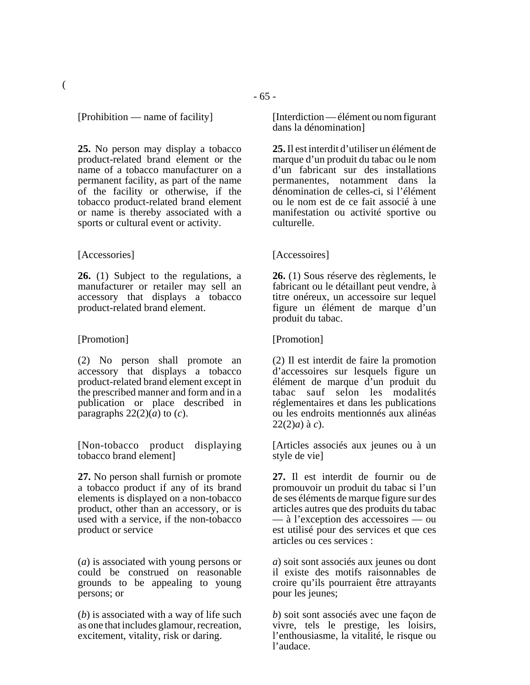[Prohibition — name of facility]

**25.** No person may display a tobacco product-related brand element or the name of a tobacco manufacturer on a permanent facility, as part of the name of the facility or otherwise, if the tobacco product-related brand element or name is thereby associated with a sports or cultural event or activity.

## [Accessories]

**26.** (1) Subject to the regulations, a manufacturer or retailer may sell an accessory that displays a tobacco product-related brand element.

#### [Promotion]

(2) No person shall promote an accessory that displays a tobacco product-related brand element except in the prescribed manner and form and in a publication or place described in paragraphs  $22(2)(a)$  to  $(c)$ .

[Non-tobacco product displaying tobacco brand element]

**27.** No person shall furnish or promote a tobacco product if any of its brand elements is displayed on a non-tobacco product, other than an accessory, or is used with a service, if the non-tobacco product or service

(*a*) is associated with young persons or could be construed on reasonable grounds to be appealing to young persons; or

(*b*) is associated with a way of life such as one that includes glamour, recreation, excitement, vitality, risk or daring.

[Interdiction — élément ou nom figurant dans la dénomination]

**25.** Il est interdit d'utiliser un élément de marque d'un produit du tabac ou le nom d'un fabricant sur des installations permanentes, notamment dans la dénomination de celles-ci, si l'élément ou le nom est de ce fait associé à une manifestation ou activité sportive ou culturelle.

#### [Accessoires]

**26.** (1) Sous réserve des règlements, le fabricant ou le détaillant peut vendre, à titre onéreux, un accessoire sur lequel figure un élément de marque d'un produit du tabac.

#### [Promotion]

(2) Il est interdit de faire la promotion d'accessoires sur lesquels figure un élément de marque d'un produit du tabac sauf selon les modalités réglementaires et dans les publications ou les endroits mentionnés aux alinéas  $22(2)a)$  à *c*).

[Articles associés aux jeunes ou à un style de vie]

**27.** Il est interdit de fournir ou de promouvoir un produit du tabac si l'un de ses éléments de marque figure sur des articles autres que des produits du tabac — à l'exception des accessoires — ou est utilisé pour des services et que ces articles ou ces services :

*a*) soit sont associés aux jeunes ou dont il existe des motifs raisonnables de croire qu'ils pourraient être attrayants pour les jeunes;

*b*) soit sont associés avec une façon de vivre, tels le prestige, les loisirs, l'enthousiasme, la vitalité, le risque ou l'audace.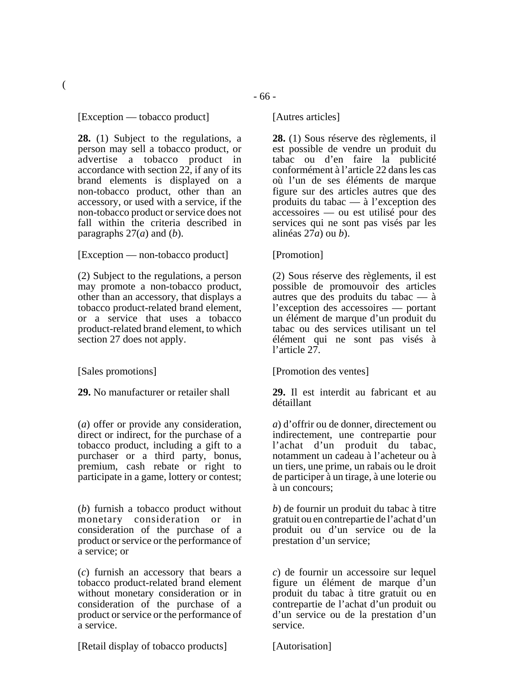- 66 -

[Exception — tobacco product]

**28.** (1) Subject to the regulations, a person may sell a tobacco product, or advertise a tobacco product in accordance with section 22, if any of its brand elements is displayed on a non-tobacco product, other than an accessory, or used with a service, if the non-tobacco product or service does not fall within the criteria described in paragraphs  $27(a)$  and  $(b)$ .

[Exception — non-tobacco product]

(2) Subject to the regulations, a person may promote a non-tobacco product, other than an accessory, that displays a tobacco product-related brand element, or a service that uses a tobacco product-related brand element, to which section 27 does not apply.

[Sales promotions]

**29.** No manufacturer or retailer shall

(*a*) offer or provide any consideration, direct or indirect, for the purchase of a tobacco product, including a gift to a purchaser or a third party, bonus, premium, cash rebate or right to participate in a game, lottery or contest;

(*b*) furnish a tobacco product without monetary consideration or in consideration of the purchase of a product or service or the performance of a service; or

(*c*) furnish an accessory that bears a tobacco product-related brand element without monetary consideration or in consideration of the purchase of a product or service or the performance of a service.

[Autres articles]

**28.** (1) Sous réserve des règlements, il est possible de vendre un produit du tabac ou d'en faire la publicité conformément à l'article 22 dans les cas où l'un de ses éléments de marque figure sur des articles autres que des produits du tabac — à l'exception des accessoires — ou est utilisé pour des services qui ne sont pas visés par les alinéas 27*a*) ou *b*).

# [Promotion]

(2) Sous réserve des règlements, il est possible de promouvoir des articles autres que des produits du tabac — à l'exception des accessoires — portant un élément de marque d'un produit du tabac ou des services utilisant un tel élément qui ne sont pas visés à l'article 27.

[Promotion des ventes]

**29.** Il est interdit au fabricant et au détaillant

*a*) d'offrir ou de donner, directement ou indirectement, une contrepartie pour l'achat d'un produit du tabac, notamment un cadeau à l'acheteur ou à un tiers, une prime, un rabais ou le droit de participer à un tirage, à une loterie ou à un concours;

*b*) de fournir un produit du tabac à titre gratuit ou en contrepartie de l'achat d'un produit ou d'un service ou de la prestation d'un service;

*c*) de fournir un accessoire sur lequel figure un élément de marque d'un produit du tabac à titre gratuit ou en contrepartie de l'achat d'un produit ou d'un service ou de la prestation d'un service.

[Retail display of tobacco products]

[Autorisation]

(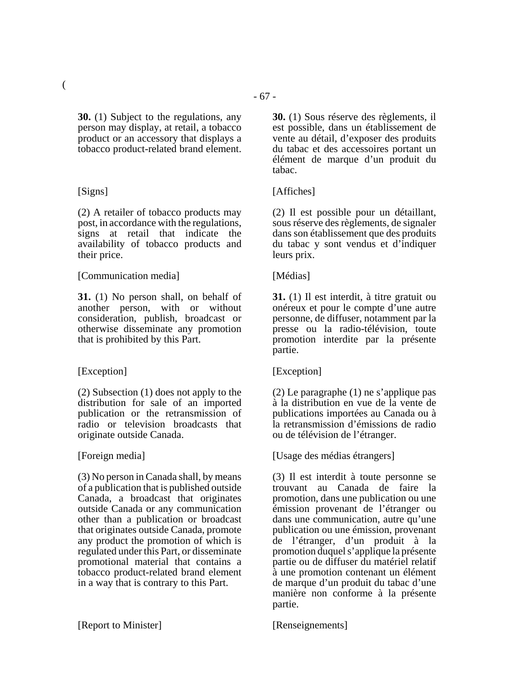**30.** (1) Subject to the regulations, any person may display, at retail, a tobacco product or an accessory that displays a tobacco product-related brand element.

# [Signs]

(2) A retailer of tobacco products may post, in accordance with the regulations, signs at retail that indicate the availability of tobacco products and their price.

[Communication media]

**31.** (1) No person shall, on behalf of another person, with or without consideration, publish, broadcast or otherwise disseminate any promotion that is prohibited by this Part.

# [Exception]

(2) Subsection (1) does not apply to the distribution for sale of an imported publication or the retransmission of radio or television broadcasts that originate outside Canada.

[Foreign media]

(3) No person in Canada shall, by means of a publication that is published outside Canada, a broadcast that originates outside Canada or any communication other than a publication or broadcast that originates outside Canada, promote any product the promotion of which is regulated under this Part, or disseminate promotional material that contains a tobacco product-related brand element in a way that is contrary to this Part.

[Report to Minister]

**30.** (1) Sous réserve des règlements, il est possible, dans un établissement de vente au détail, d'exposer des produits du tabac et des accessoires portant un élément de marque d'un produit du tabac.

# [Affiches]

(2) Il est possible pour un détaillant, sous réserve des règlements, de signaler dans son établissement que des produits du tabac y sont vendus et d'indiquer leurs prix.

# [Médias]

**31.** (1) Il est interdit, à titre gratuit ou onéreux et pour le compte d'une autre personne, de diffuser, notamment par la presse ou la radio-télévision, toute promotion interdite par la présente partie.

[Exception]

(2) Le paragraphe (1) ne s'applique pas à la distribution en vue de la vente de publications importées au Canada ou à la retransmission d'émissions de radio ou de télévision de l'étranger.

[Usage des médias étrangers]

(3) Il est interdit à toute personne se trouvant au Canada de faire la promotion, dans une publication ou une émission provenant de l'étranger ou dans une communication, autre qu'une publication ou une émission, provenant de l'étranger, d'un produit à la promotion duquel s'applique la présente partie ou de diffuser du matériel relatif à une promotion contenant un élément de marque d'un produit du tabac d'une manière non conforme à la présente partie.

[Renseignements]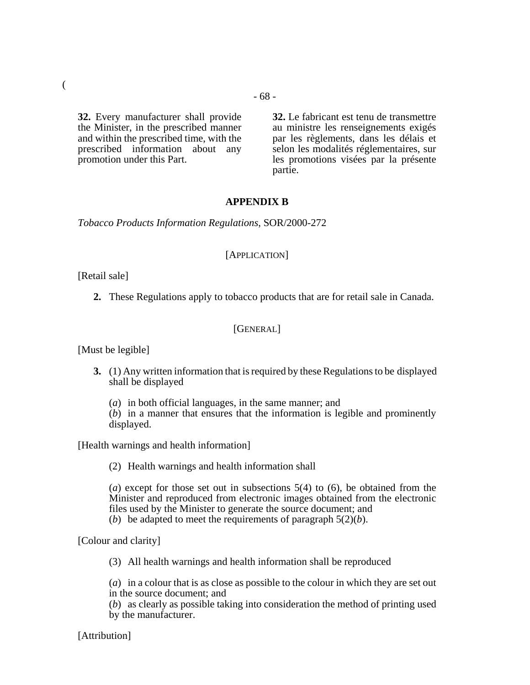**32.** Every manufacturer shall provide the Minister, in the prescribed manner and within the prescribed time, with the prescribed information about any promotion under this Part.

**32.** Le fabricant est tenu de transmettre au ministre les renseignements exigés par les règlements, dans les délais et selon les modalités réglementaires, sur les promotions visées par la présente partie.

## **APPENDIX B**

*Tobacco Products Information Regulations*, SOR/2000-272

## [APPLICATION]

[Retail sale]

**2.** These Regulations apply to tobacco products that are for retail sale in Canada.

# [GENERAL]

[Must be legible]

**3.** (1) Any written information that is required by these Regulations to be displayed shall be displayed

(*a*) in both official languages, in the same manner; and (*b*) in a manner that ensures that the information is legible and prominently displayed.

[Health warnings and health information]

(2) Health warnings and health information shall

(*a*) except for those set out in subsections 5(4) to (6), be obtained from the Minister and reproduced from electronic images obtained from the electronic files used by the Minister to generate the source document; and

(*b*) be adapted to meet the requirements of paragraph  $5(2)(b)$ .

[Colour and clarity]

(3) All health warnings and health information shall be reproduced

(*a*) in a colour that is as close as possible to the colour in which they are set out in the source document; and

(*b*) as clearly as possible taking into consideration the method of printing used by the manufacturer.

[Attribution]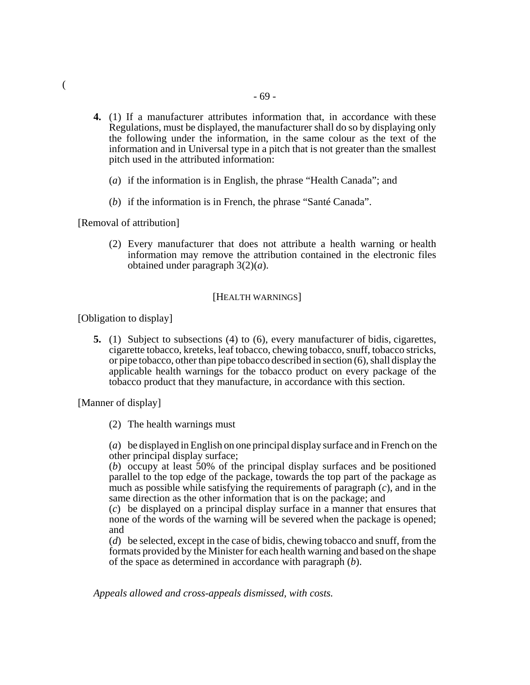- **4.** (1) If a manufacturer attributes information that, in accordance with these Regulations, must be displayed, the manufacturer shall do so by displaying only the following under the information, in the same colour as the text of the information and in Universal type in a pitch that is not greater than the smallest pitch used in the attributed information:
	- (*a*) if the information is in English, the phrase "Health Canada"; and
	- (*b*) if the information is in French, the phrase "Santé Canada".

[Removal of attribution]

(2) Every manufacturer that does not attribute a health warning or health information may remove the attribution contained in the electronic files obtained under paragraph 3(2)(*a*).

# [HEALTH WARNINGS]

[Obligation to display]

**5.** (1) Subject to subsections (4) to (6), every manufacturer of bidis, cigarettes, cigarette tobacco, kreteks, leaf tobacco, chewing tobacco, snuff, tobacco stricks, or pipe tobacco, other than pipe tobacco described in section (6), shall display the applicable health warnings for the tobacco product on every package of the tobacco product that they manufacture, in accordance with this section.

[Manner of display]

(2) The health warnings must

(*a*) be displayed in English on one principal display surface and in French on the other principal display surface;

(*b*) occupy at least 50% of the principal display surfaces and be positioned parallel to the top edge of the package, towards the top part of the package as much as possible while satisfying the requirements of paragraph (*c*), and in the same direction as the other information that is on the package; and

(*c*) be displayed on a principal display surface in a manner that ensures that none of the words of the warning will be severed when the package is opened; and

(*d*) be selected, except in the case of bidis, chewing tobacco and snuff, from the formats provided by the Minister for each health warning and based on the shape of the space as determined in accordance with paragraph (*b*).

*Appeals allowed and cross-appeals dismissed, with costs.*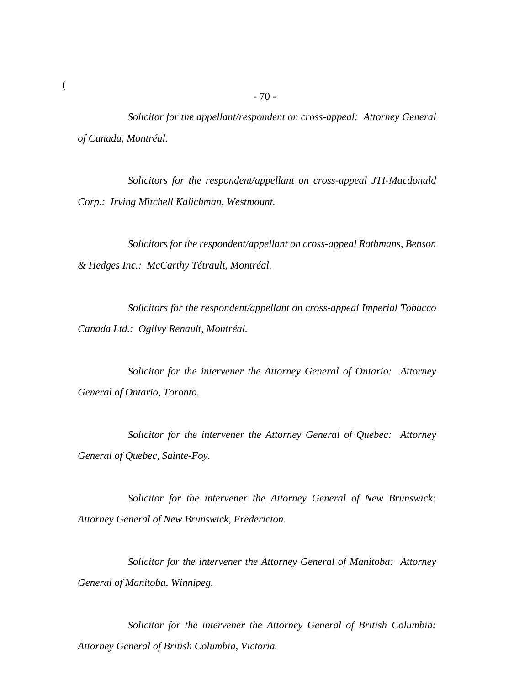*Solicitor for the appellant/respondent on cross-appeal: Attorney General of Canada, Montréal.*

- 70 -

*Solicitors for the respondent/appellant on cross-appeal JTI-Macdonald Corp.: Irving Mitchell Kalichman, Westmount.*

*Solicitors for the respondent/appellant on cross-appeal Rothmans, Benson & Hedges Inc.: McCarthy Tétrault, Montréal.*

*Solicitors for the respondent/appellant on cross-appeal Imperial Tobacco Canada Ltd.: Ogilvy Renault, Montréal.*

*Solicitor for the intervener the Attorney General of Ontario: Attorney General of Ontario, Toronto.*

*Solicitor for the intervener the Attorney General of Quebec: Attorney General of Quebec, Sainte-Foy.*

*Solicitor for the intervener the Attorney General of New Brunswick: Attorney General of New Brunswick, Fredericton.*

*Solicitor for the intervener the Attorney General of Manitoba: Attorney General of Manitoba, Winnipeg.*

*Solicitor for the intervener the Attorney General of British Columbia: Attorney General of British Columbia, Victoria.*